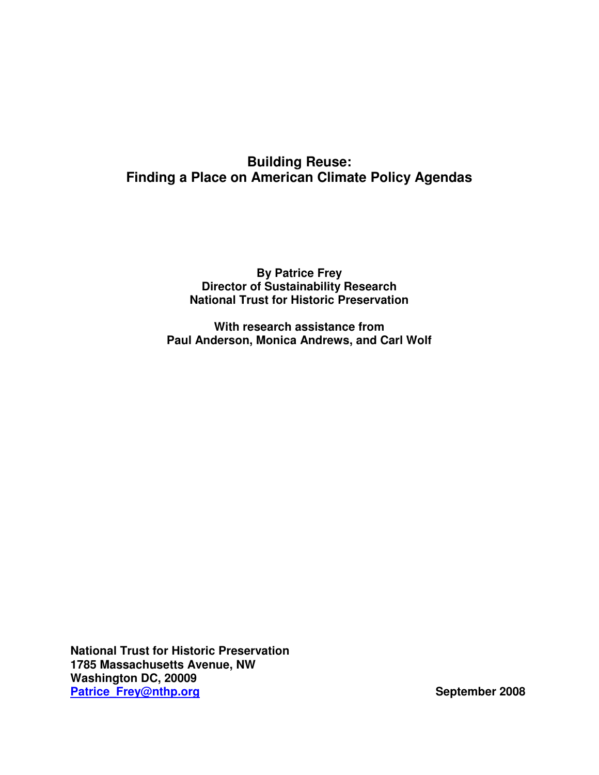## **Building Reuse: Finding a Place on American Climate Policy Agendas**

## **By Patrice Frey Director of Sustainability Research National Trust for Historic Preservation**

**With research assistance from Paul Anderson, Monica Andrews, and Carl Wolf**

**National Trust for Historic Preservation 1785 Massachusetts Avenue, NW Washington DC, 20009 Patrice\_Frey@nthp.org September 2008**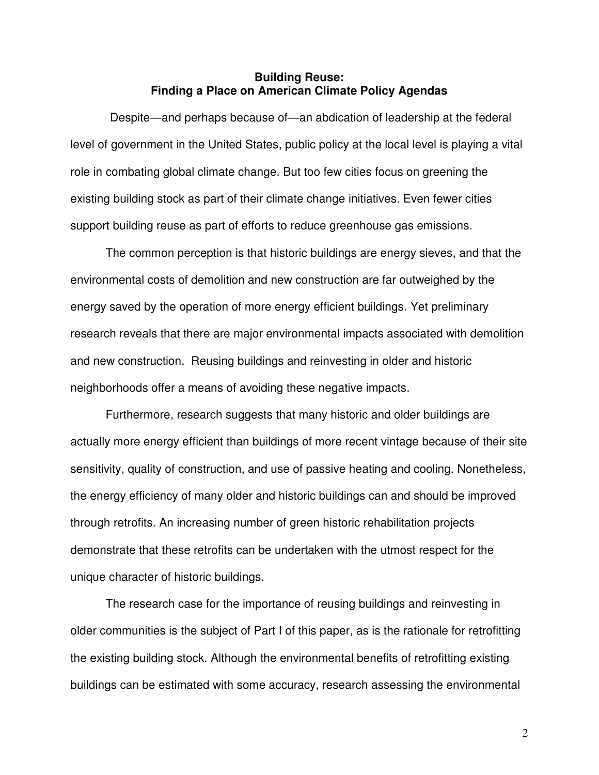#### **Building Reuse: Finding a Place on American Climate Policy Agendas**

Despite—and perhaps because of—an abdication of leadership at the federal level of government in the United States, public policy at the local level is playing a vital role in combating global climate change. But too few cities focus on greening the existing building stock as part of their climate change initiatives. Even fewer cities support building reuse as part of efforts to reduce greenhouse gas emissions.

The common perception is that historic buildings are energy sieves, and that the environmental costs of demolition and new construction are far outweighed by the energy saved by the operation of more energy efficient buildings. Yet preliminary research reveals that there are major environmental impacts associated with demolition and new construction. Reusing buildings and reinvesting in older and historic neighborhoods offer a means of avoiding these negative impacts.

Furthermore, research suggests that many historic and older buildings are actually more energy efficient than buildings of more recent vintage because of their site sensitivity, quality of construction, and use of passive heating and cooling. Nonetheless, the energy efficiency of many older and historic buildings can and should be improved through retrofits. An increasing number of green historic rehabilitation projects demonstrate that these retrofits can be undertaken with the utmost respect for the unique character of historic buildings.

The research case for the importance of reusing buildings and reinvesting in older communities is the subject of Part I of this paper, as is the rationale for retrofitting the existing building stock. Although the environmental benefits of retrofitting existing buildings can be estimated with some accuracy, research assessing the environmental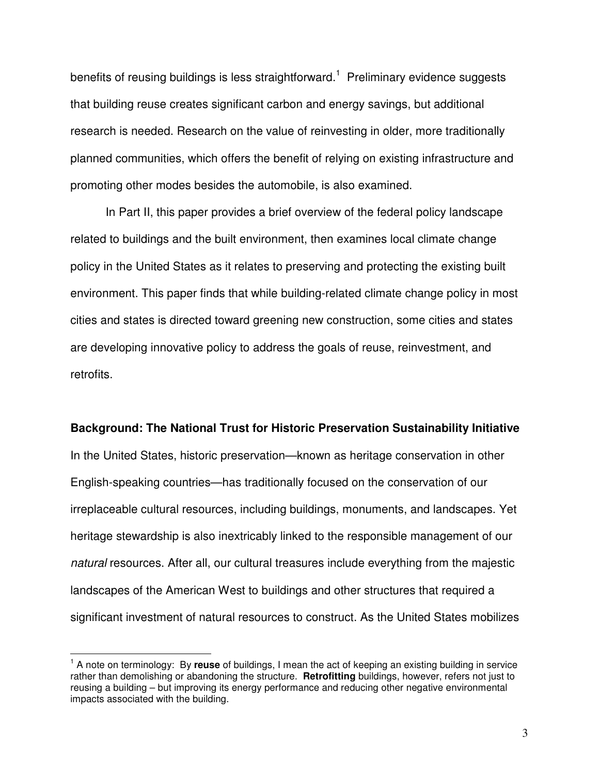benefits of reusing buildings is less straightforward.<sup>1</sup> Preliminary evidence suggests that building reuse creates significant carbon and energy savings, but additional research is needed. Research on the value of reinvesting in older, more traditionally planned communities, which offers the benefit of relying on existing infrastructure and promoting other modes besides the automobile, is also examined.

In Part II, this paper provides a brief overview of the federal policy landscape related to buildings and the built environment, then examines local climate change policy in the United States as it relates to preserving and protecting the existing built environment. This paper finds that while building-related climate change policy in most cities and states is directed toward greening new construction, some cities and states are developing innovative policy to address the goals of reuse, reinvestment, and retrofits.

#### **Background: The National Trust for Historic Preservation Sustainability Initiative**

In the United States, historic preservation—known as heritage conservation in other English-speaking countries—has traditionally focused on the conservation of our irreplaceable cultural resources, including buildings, monuments, and landscapes. Yet heritage stewardship is also inextricably linked to the responsible management of our *natural* resources. After all, our cultural treasures include everything from the majestic landscapes of the American West to buildings and other structures that required a significant investment of natural resources to construct. As the United States mobilizes

<sup>&</sup>lt;sup>1</sup> A note on terminology: By reuse of buildings, I mean the act of keeping an existing building in service rather than demolishing or abandoning the structure. **Retrofitting** buildings, however, refers not just to reusing a building – but improving its energy performance and reducing other negative environmental impacts associated with the building.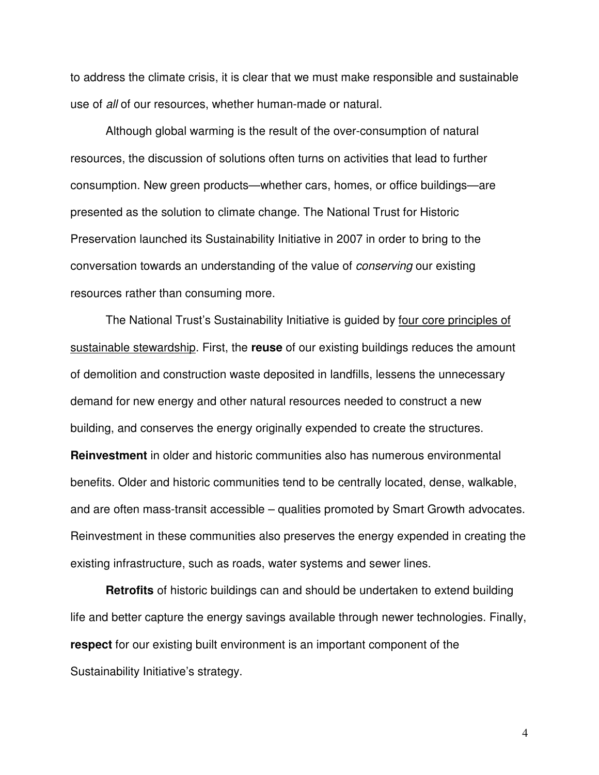to address the climate crisis, it is clear that we must make responsible and sustainable use of *all* of our resources, whether human-made or natural.

Although global warming is the result of the over-consumption of natural resources, the discussion of solutions often turns on activities that lead to further consumption. New green products—whether cars, homes, or office buildings—are presented as the solution to climate change. The National Trust for Historic Preservation launched its Sustainability Initiative in 2007 in order to bring to the conversation towards an understanding of the value of *conserving* our existing resources rather than consuming more.

The National Trust's Sustainability Initiative is guided by four core principles of sustainable stewardship. First, the **reuse** of our existing buildings reduces the amount of demolition and construction waste deposited in landfills, lessens the unnecessary demand for new energy and other natural resources needed to construct a new building, and conserves the energy originally expended to create the structures. **Reinvestment** in older and historic communities also has numerous environmental benefits. Older and historic communities tend to be centrally located, dense, walkable, and are often mass-transit accessible – qualities promoted by Smart Growth advocates. Reinvestment in these communities also preserves the energy expended in creating the existing infrastructure, such as roads, water systems and sewer lines.

**Retrofits** of historic buildings can and should be undertaken to extend building life and better capture the energy savings available through newer technologies. Finally, **respect** for our existing built environment is an important component of the Sustainability Initiative's strategy.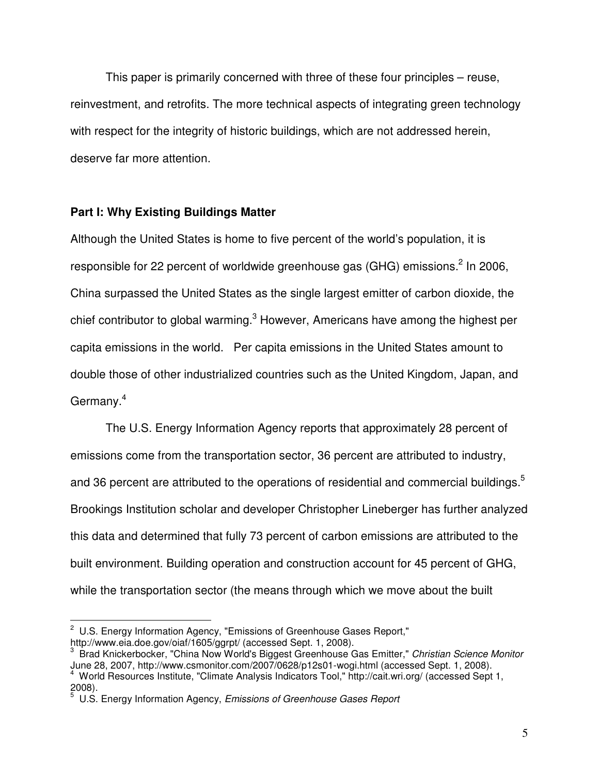This paper is primarily concerned with three of these four principles – reuse, reinvestment, and retrofits. The more technical aspects of integrating green technology with respect for the integrity of historic buildings, which are not addressed herein, deserve far more attention.

## **Part I: Why Existing Buildings Matter**

Although the United States is home to five percent of the world's population, it is responsible for 22 percent of worldwide greenhouse gas (GHG) emissions.<sup>2</sup> In 2006, China surpassed the United States as the single largest emitter of carbon dioxide, the chief contributor to global warming. $^3$  However, Americans have among the highest per capita emissions in the world. Per capita emissions in the United States amount to double those of other industrialized countries such as the United Kingdom, Japan, and Germany.<sup>4</sup>

The U.S. Energy Information Agency reports that approximately 28 percent of emissions come from the transportation sector, 36 percent are attributed to industry, and 36 percent are attributed to the operations of residential and commercial buildings.<sup>5</sup> Brookings Institution scholar and developer Christopher Lineberger has further analyzed this data and determined that fully 73 percent of carbon emissions are attributed to the built environment. Building operation and construction account for 45 percent of GHG, while the transportation sector (the means through which we move about the built

 $2$  U.S. Energy Information Agency, "Emissions of Greenhouse Gases Report," http://www.eia.doe.gov/oiaf/1605/ggrpt/ (accessed Sept. 1, 2008).

<sup>3</sup> Brad Knickerbocker, "China Now World's Biggest Greenhouse Gas Emitter," *Christian Science Monitor* June 28, 2007, http://www.csmonitor.com/2007/0628/p12s01-wogi.html (accessed Sept. 1, 2008). <sup>4</sup> World Resources Institute, "Climate Analysis Indicators Tool," http://cait.wri.org/ (accessed Sept 1,

 $2008$ ).

<sup>5</sup> U.S. Energy Information Agency, *Emissions of Greenhouse Gases Report*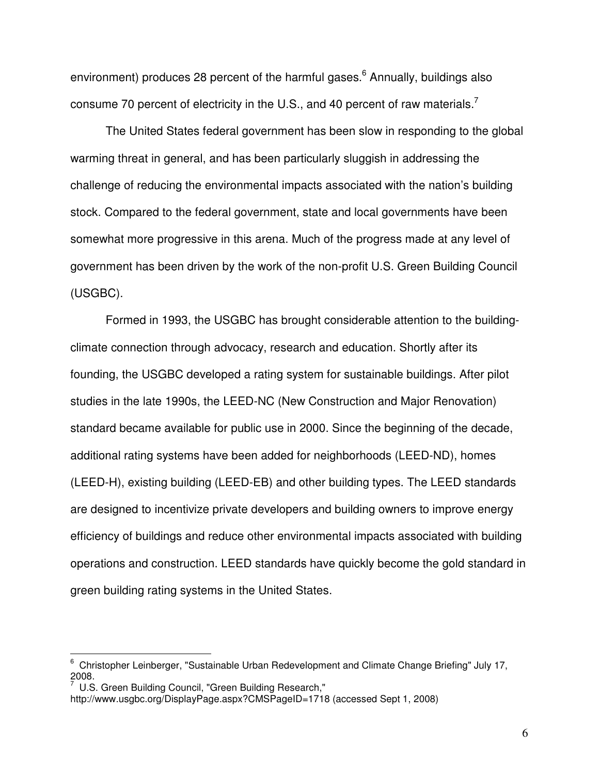environment) produces 28 percent of the harmful gases.<sup>6</sup> Annually, buildings also consume 70 percent of electricity in the U.S., and 40 percent of raw materials.<sup>7</sup>

The United States federal government has been slow in responding to the global warming threat in general, and has been particularly sluggish in addressing the challenge of reducing the environmental impacts associated with the nation's building stock. Compared to the federal government, state and local governments have been somewhat more progressive in this arena. Much of the progress made at any level of government has been driven by the work of the non-profit U.S. Green Building Council (USGBC).

Formed in 1993, the USGBC has brought considerable attention to the buildingclimate connection through advocacy, research and education. Shortly after its founding, the USGBC developed a rating system for sustainable buildings. After pilot studies in the late 1990s, the LEED-NC (New Construction and Major Renovation) standard became available for public use in 2000. Since the beginning of the decade, additional rating systems have been added for neighborhoods (LEED-ND), homes (LEED-H), existing building (LEED-EB) and other building types. The LEED standards are designed to incentivize private developers and building owners to improve energy efficiency of buildings and reduce other environmental impacts associated with building operations and construction. LEED standards have quickly become the gold standard in green building rating systems in the United States.

 $6$  Christopher Leinberger, "Sustainable Urban Redevelopment and Climate Change Briefing" July 17,  $^{2008.}_{7110}$ 

U.S. Green Building Council, "Green Building Research,"

http://www.usgbc.org/DisplayPage.aspx?CMSPageID=1718 (accessed Sept 1, 2008)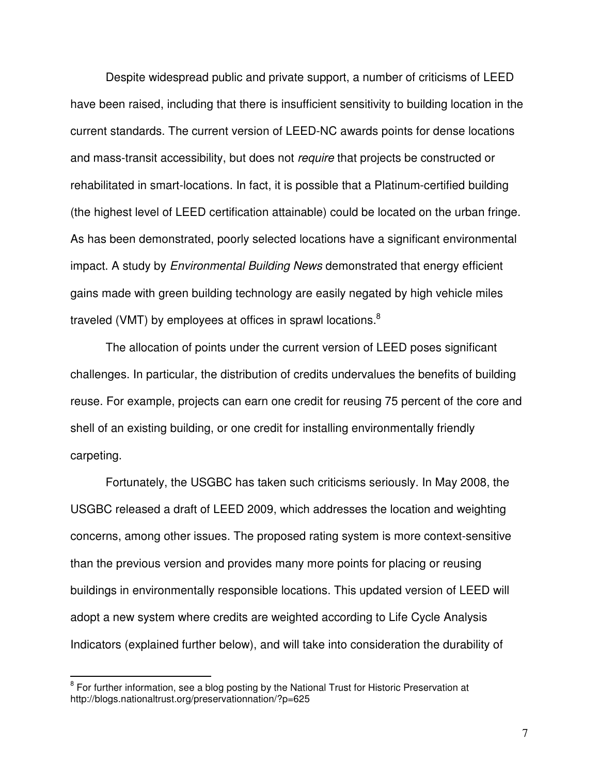Despite widespread public and private support, a number of criticisms of LEED have been raised, including that there is insufficient sensitivity to building location in the current standards. The current version of LEED-NC awards points for dense locations and mass-transit accessibility, but does not *require* that projects be constructed or rehabilitated in smart-locations. In fact, it is possible that a Platinum-certified building (the highest level of LEED certification attainable) could be located on the urban fringe. As has been demonstrated, poorly selected locations have a significant environmental impact. A study by *Environmental Building News* demonstrated that energy efficient gains made with green building technology are easily negated by high vehicle miles traveled (VMT) by employees at offices in sprawl locations. $^8$ 

The allocation of points under the current version of LEED poses significant challenges. In particular, the distribution of credits undervalues the benefits of building reuse. For example, projects can earn one credit for reusing 75 percent of the core and shell of an existing building, or one credit for installing environmentally friendly carpeting.

Fortunately, the USGBC has taken such criticisms seriously. In May 2008, the USGBC released a draft of LEED 2009, which addresses the location and weighting concerns, among other issues. The proposed rating system is more context-sensitive than the previous version and provides many more points for placing or reusing buildings in environmentally responsible locations. This updated version of LEED will adopt a new system where credits are weighted according to Life Cycle Analysis Indicators (explained further below), and will take into consideration the durability of

<sup>&</sup>lt;sup>8</sup> For further information, see a blog posting by the National Trust for Historic Preservation at http://blogs.nationaltrust.org/preservationnation/?p=625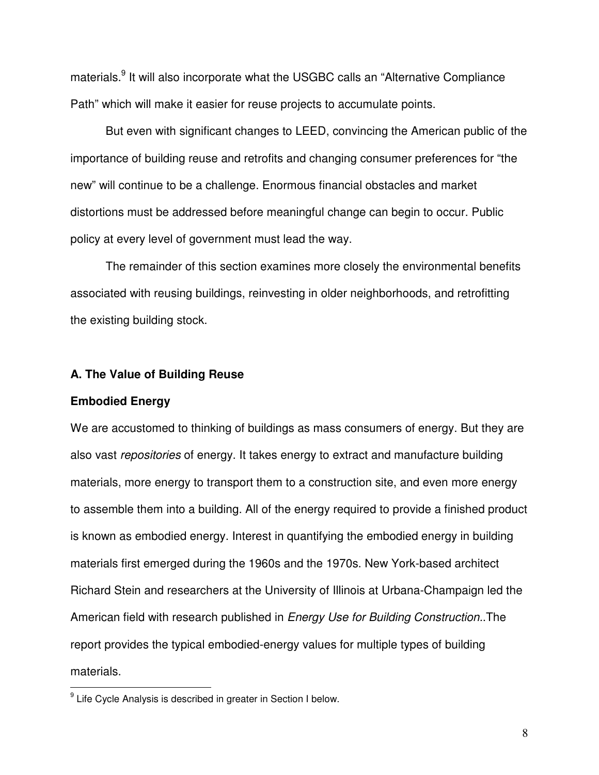materials.<sup>9</sup> It will also incorporate what the USGBC calls an "Alternative Compliance Path" which will make it easier for reuse projects to accumulate points.

But even with significant changes to LEED, convincing the American public of the importance of building reuse and retrofits and changing consumer preferences for "the new" will continue to be a challenge. Enormous financial obstacles and market distortions must be addressed before meaningful change can begin to occur. Public policy at every level of government must lead the way.

The remainder of this section examines more closely the environmental benefits associated with reusing buildings, reinvesting in older neighborhoods, and retrofitting the existing building stock.

#### **A. The Value of Building Reuse**

#### **Embodied Energy**

We are accustomed to thinking of buildings as mass consumers of energy. But they are also vast *repositories* of energy. It takes energy to extract and manufacture building materials, more energy to transport them to a construction site, and even more energy to assemble them into a building. All of the energy required to provide a finished product is known as embodied energy. Interest in quantifying the embodied energy in building materials first emerged during the 1960s and the 1970s. New York-based architect Richard Stein and researchers at the University of Illinois at Urbana-Champaign led the American field with research published in *Energy Use for Building Construction.*.The report provides the typical embodied-energy values for multiple types of building materials.

<sup>&</sup>lt;sup>9</sup> Life Cycle Analysis is described in greater in Section I below.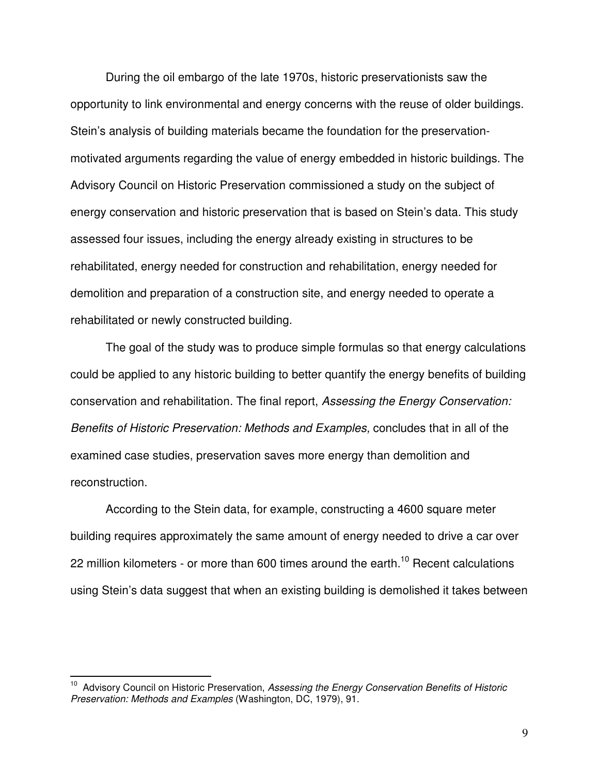During the oil embargo of the late 1970s, historic preservationists saw the opportunity to link environmental and energy concerns with the reuse of older buildings. Stein's analysis of building materials became the foundation for the preservationmotivated arguments regarding the value of energy embedded in historic buildings. The Advisory Council on Historic Preservation commissioned a study on the subject of energy conservation and historic preservation that is based on Stein's data. This study assessed four issues, including the energy already existing in structures to be rehabilitated, energy needed for construction and rehabilitation, energy needed for demolition and preparation of a construction site, and energy needed to operate a rehabilitated or newly constructed building.

The goal of the study was to produce simple formulas so that energy calculations could be applied to any historic building to better quantify the energy benefits of building conservation and rehabilitation. The final report, *Assessing the Energy Conservation: Benefits of Historic Preservation: Methods and Examples,* concludes that in all of the examined case studies, preservation saves more energy than demolition and reconstruction.

According to the Stein data, for example, constructing a 4600 square meter building requires approximately the same amount of energy needed to drive a car over 22 million kilometers - or more than 600 times around the earth.<sup>10</sup> Recent calculations using Stein's data suggest that when an existing building is demolished it takes between

<sup>10</sup> Advisory Council on Historic Preservation, *Assessing the Energy Conservation Benefits of Historic Preservation: Methods and Examples* (Washington, DC, 1979), 91.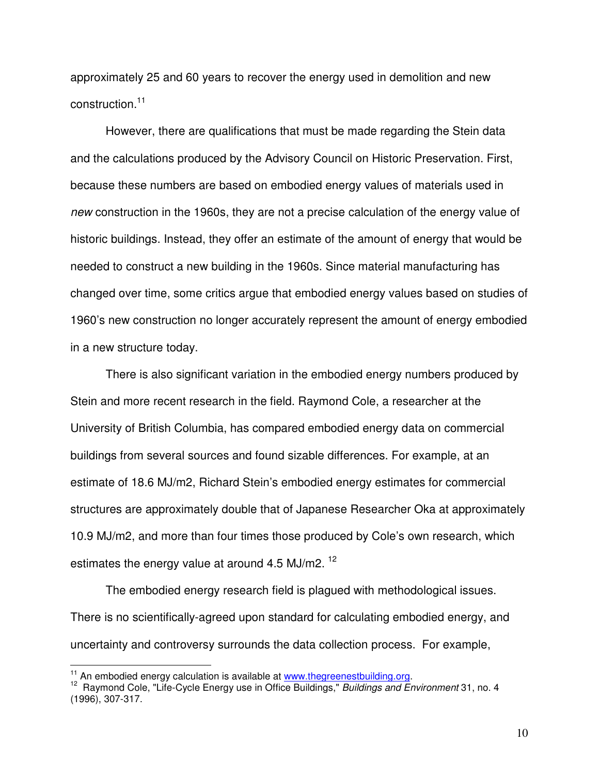approximately 25 and 60 years to recover the energy used in demolition and new construction. 11

However, there are qualifications that must be made regarding the Stein data and the calculations produced by the Advisory Council on Historic Preservation. First, because these numbers are based on embodied energy values of materials used in *new* construction in the 1960s, they are not a precise calculation of the energy value of historic buildings. Instead, they offer an estimate of the amount of energy that would be needed to construct a new building in the 1960s. Since material manufacturing has changed over time, some critics argue that embodied energy values based on studies of 1960's new construction no longer accurately represent the amount of energy embodied in a new structure today.

There is also significant variation in the embodied energy numbers produced by Stein and more recent research in the field. Raymond Cole, a researcher at the University of British Columbia, has compared embodied energy data on commercial buildings from several sources and found sizable differences. For example, at an estimate of 18.6 MJ/m2, Richard Stein's embodied energy estimates for commercial structures are approximately double that of Japanese Researcher Oka at approximately 10.9 MJ/m2, and more than four times those produced by Cole's own research, which estimates the energy value at around 4.5 MJ/m2. <sup>12</sup>

The embodied energy research field is plagued with methodological issues. There is no scientifically-agreed upon standard for calculating embodied energy, and uncertainty and controversy surrounds the data collection process. For example,

 $\frac{11}{11}$  An embodied energy calculation is available at www.thegreenestbuilding.org.

<sup>12</sup> Raymond Cole, "Life-Cycle Energy use in Office Buildings," *Buildings and Environment* 31, no. 4 (1996), 307-317.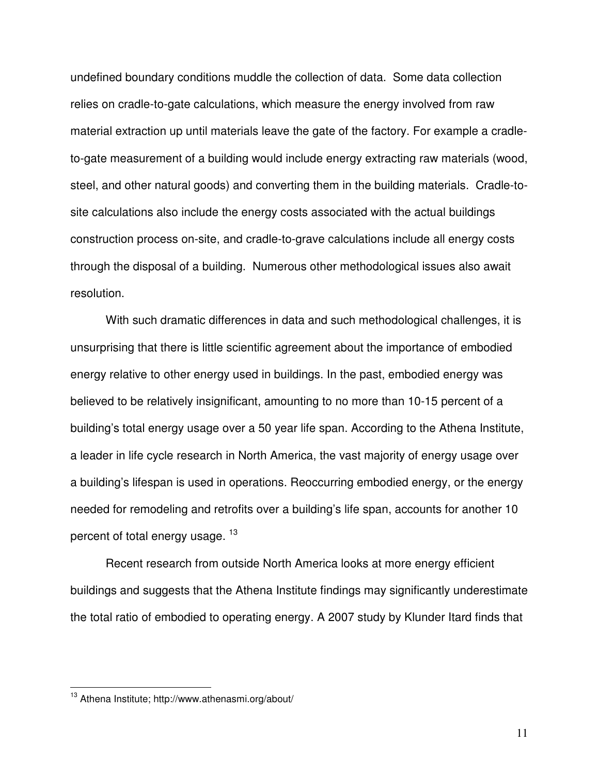undefined boundary conditions muddle the collection of data. Some data collection relies on cradle-to-gate calculations, which measure the energy involved from raw material extraction up until materials leave the gate of the factory. For example a cradleto-gate measurement of a building would include energy extracting raw materials (wood, steel, and other natural goods) and converting them in the building materials. Cradle-tosite calculations also include the energy costs associated with the actual buildings construction process on-site, and cradle-to-grave calculations include all energy costs through the disposal of a building. Numerous other methodological issues also await resolution.

With such dramatic differences in data and such methodological challenges, it is unsurprising that there is little scientific agreement about the importance of embodied energy relative to other energy used in buildings. In the past, embodied energy was believed to be relatively insignificant, amounting to no more than 10-15 percent of a building's total energy usage over a 50 year life span. According to the Athena Institute, a leader in life cycle research in North America, the vast majority of energy usage over a building's lifespan is used in operations. Reoccurring embodied energy, or the energy needed for remodeling and retrofits over a building's life span, accounts for another 10 percent of total energy usage. <sup>13</sup>

Recent research from outside North America looks at more energy efficient buildings and suggests that the Athena Institute findings may significantly underestimate the total ratio of embodied to operating energy. A 2007 study by Klunder Itard finds that

<sup>&</sup>lt;sup>13</sup> Athena Institute; http://www.athenasmi.org/about/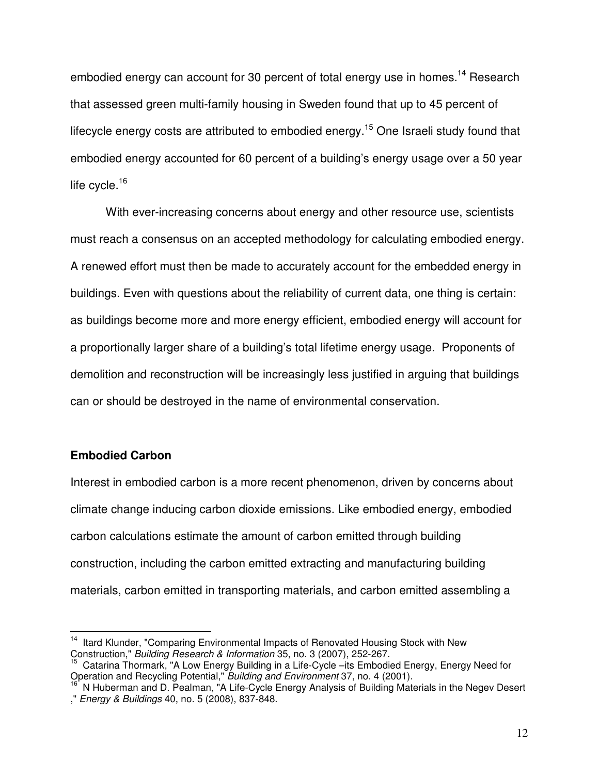embodied energy can account for 30 percent of total energy use in homes.<sup>14</sup> Research that assessed green multi-family housing in Sweden found that up to 45 percent of lifecycle energy costs are attributed to embodied energy.<sup>15</sup> One Israeli study found that embodied energy accounted for 60 percent of a building's energy usage over a 50 year life cycle.<sup>16</sup>

With ever-increasing concerns about energy and other resource use, scientists must reach a consensus on an accepted methodology for calculating embodied energy. A renewed effort must then be made to accurately account for the embedded energy in buildings. Even with questions about the reliability of current data, one thing is certain: as buildings become more and more energy efficient, embodied energy will account for a proportionally larger share of a building's total lifetime energy usage. Proponents of demolition and reconstruction will be increasingly less justified in arguing that buildings can or should be destroyed in the name of environmental conservation.

## **Embodied Carbon**

Interest in embodied carbon is a more recent phenomenon, driven by concerns about climate change inducing carbon dioxide emissions. Like embodied energy, embodied carbon calculations estimate the amount of carbon emitted through building construction, including the carbon emitted extracting and manufacturing building materials, carbon emitted in transporting materials, and carbon emitted assembling a

<sup>&</sup>lt;sup>14</sup> Itard Klunder, "Comparing Environmental Impacts of Renovated Housing Stock with New Construction," *Building Research & Information* 35, no. 3 (2007), 252-267.

<sup>15</sup> Catarina Thormark, "A Low Energy Building in a Life-Cycle –its Embodied Energy, Energy Need for Operation and Recycling Potential," *Building and Environment* 37, no. 4 (2001).

<sup>&</sup>lt;sup>16</sup> N Huberman and D. Pealman, "A Life-Cycle Energy Analysis of Building Materials in the Negev Desert ," *Energy & Buildings* 40, no. 5 (2008), 837-848.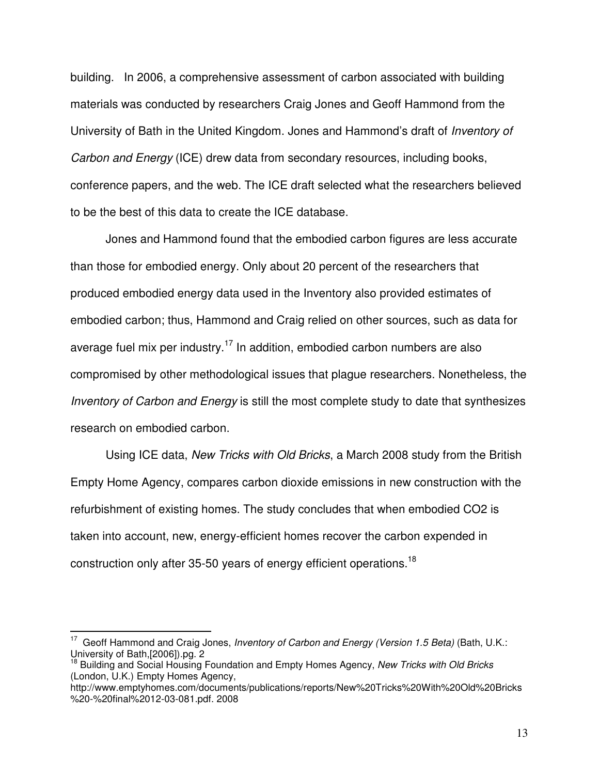building. In 2006, a comprehensive assessment of carbon associated with building materials was conducted by researchers Craig Jones and Geoff Hammond from the University of Bath in the United Kingdom. Jones and Hammond's draft of *Inventory of Carbon and Energy* (ICE) drew data from secondary resources, including books, conference papers, and the web. The ICE draft selected what the researchers believed to be the best of this data to create the ICE database.

Jones and Hammond found that the embodied carbon figures are less accurate than those for embodied energy. Only about 20 percent of the researchers that produced embodied energy data used in the Inventory also provided estimates of embodied carbon; thus, Hammond and Craig relied on other sources, such as data for average fuel mix per industry.<sup>17</sup> In addition, embodied carbon numbers are also compromised by other methodological issues that plague researchers. Nonetheless, the *Inventory of Carbon and Energy* is still the most complete study to date that synthesizes research on embodied carbon.

Using ICE data, *New Tricks with Old Bricks*, a March 2008 study from the British Empty Home Agency, compares carbon dioxide emissions in new construction with the refurbishment of existing homes. The study concludes that when embodied CO2 is taken into account, new, energy-efficient homes recover the carbon expended in construction only after 35-50 years of energy efficient operations.<sup>18</sup>

<sup>17</sup> Geoff Hammond and Craig Jones, *Inventory of Carbon and Energy (Version 1.5 Beta)* (Bath, U.K.: University of Bath,[2006]).pg. 2

<sup>18</sup> Building and Social Housing Foundation and Empty Homes Agency, *New Tricks with Old Bricks* (London, U.K.) Empty Homes Agency,

http://www.emptyhomes.com/documents/publications/reports/New%20Tricks%20With%20Old%20Bricks %20-%20final%2012-03-081.pdf. 2008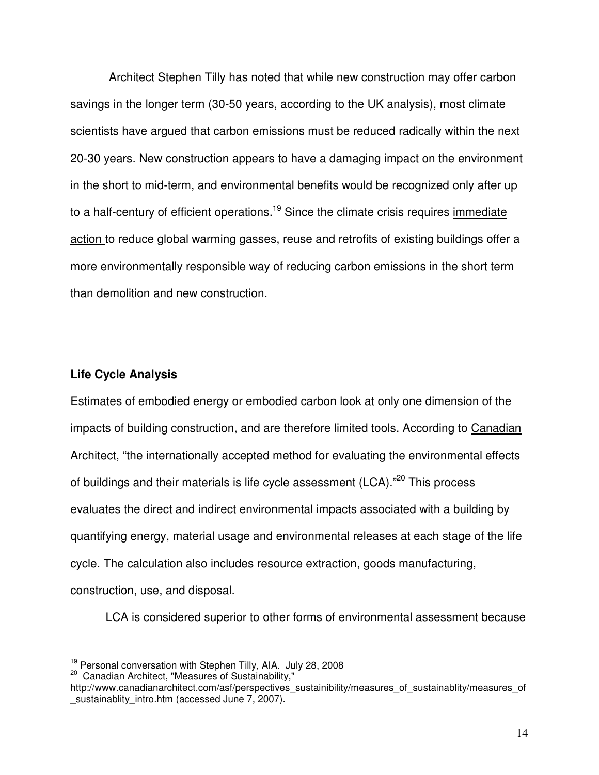Architect Stephen Tilly has noted that while new construction may offer carbon savings in the longer term (30-50 years, according to the UK analysis), most climate scientists have argued that carbon emissions must be reduced radically within the next 20-30 years. New construction appears to have a damaging impact on the environment in the short to mid-term, and environmental benefits would be recognized only after up to a half-century of efficient operations.<sup>19</sup> Since the climate crisis requires immediate action to reduce global warming gasses, reuse and retrofits of existing buildings offer a more environmentally responsible way of reducing carbon emissions in the short term than demolition and new construction.

## **Life Cycle Analysis**

Estimates of embodied energy or embodied carbon look at only one dimension of the impacts of building construction, and are therefore limited tools. According to Canadian Architect, "the internationally accepted method for evaluating the environmental effects of buildings and their materials is life cycle assessment (LCA)."<sup>20</sup> This process evaluates the direct and indirect environmental impacts associated with a building by quantifying energy, material usage and environmental releases at each stage of the life cycle. The calculation also includes resource extraction, goods manufacturing, construction, use, and disposal.

LCA is considered superior to other forms of environmental assessment because

<sup>&</sup>lt;sup>19</sup> Personal conversation with Stephen Tilly, AIA. July 28, 2008

<sup>&</sup>lt;sup>20</sup> Canadian Architect, "Measures of Sustainability,"

http://www.canadianarchitect.com/asf/perspectives\_sustainibility/measures\_of\_sustainablity/measures\_of \_sustainablity\_intro.htm (accessed June 7, 2007).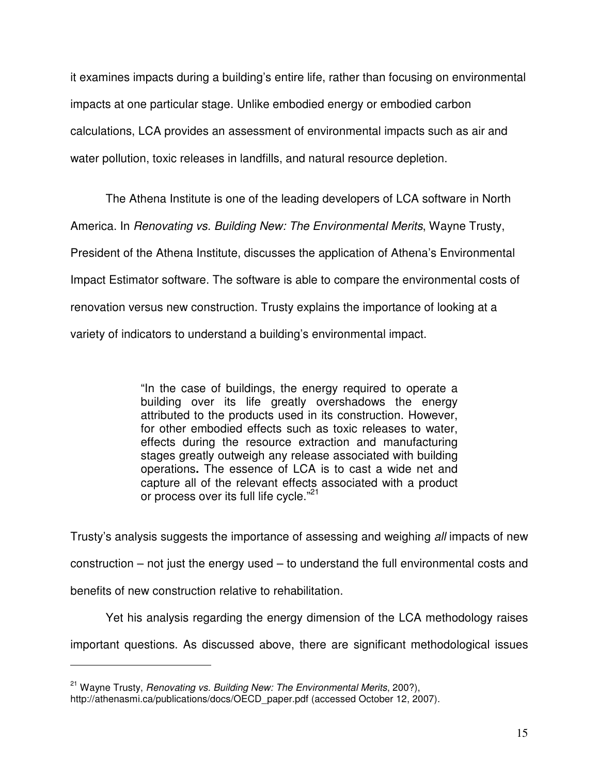it examines impacts during a building's entire life, rather than focusing on environmental impacts at one particular stage. Unlike embodied energy or embodied carbon calculations, LCA provides an assessment of environmental impacts such as air and water pollution, toxic releases in landfills, and natural resource depletion.

The Athena Institute is one of the leading developers of LCA software in North America. In *Renovating vs. Building New: The Environmental Merits*, Wayne Trusty, President of the Athena Institute, discusses the application of Athena's Environmental Impact Estimator software. The software is able to compare the environmental costs of renovation versus new construction. Trusty explains the importance of looking at a variety of indicators to understand a building's environmental impact.

> "In the case of buildings, the energy required to operate a building over its life greatly overshadows the energy attributed to the products used in its construction. However, for other embodied effects such as toxic releases to water, effects during the resource extraction and manufacturing stages greatly outweigh any release associated with building operations**.** The essence of LCA is to cast a wide net and capture all of the relevant effects associated with a product or process over its full life cycle."<sup>21</sup>

Trusty's analysis suggests the importance of assessing and weighing *all* impacts of new construction – not just the energy used – to understand the full environmental costs and benefits of new construction relative to rehabilitation.

Yet his analysis regarding the energy dimension of the LCA methodology raises

important questions. As discussed above, there are significant methodological issues

<sup>21</sup> Wayne Trusty, *Renovating vs. Building New: The Environmental Merits*, 200?),

http://athenasmi.ca/publications/docs/OECD\_paper.pdf (accessed October 12, 2007).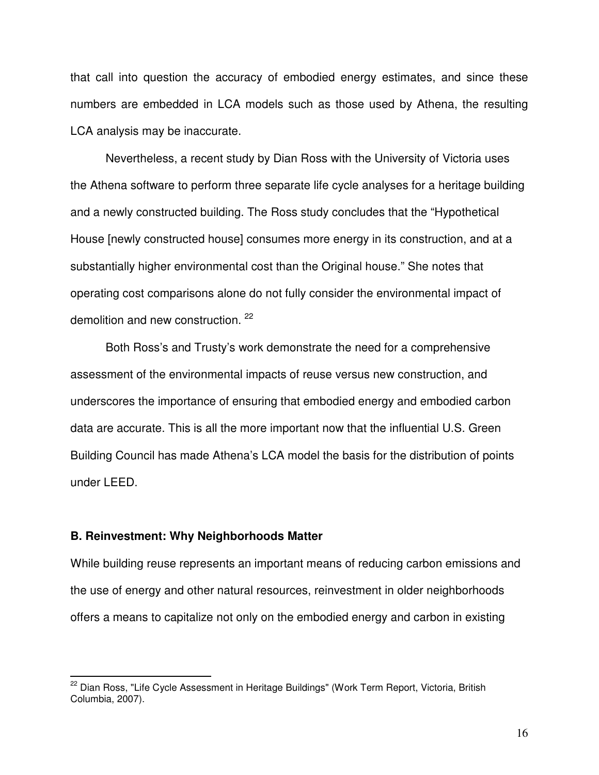that call into question the accuracy of embodied energy estimates, and since these numbers are embedded in LCA models such as those used by Athena, the resulting LCA analysis may be inaccurate.

Nevertheless, a recent study by Dian Ross with the University of Victoria uses the Athena software to perform three separate life cycle analyses for a heritage building and a newly constructed building. The Ross study concludes that the "Hypothetical House [newly constructed house] consumes more energy in its construction, and at a substantially higher environmental cost than the Original house." She notes that operating cost comparisons alone do not fully consider the environmental impact of demolition and new construction.<sup>22</sup>

Both Ross's and Trusty's work demonstrate the need for a comprehensive assessment of the environmental impacts of reuse versus new construction, and underscores the importance of ensuring that embodied energy and embodied carbon data are accurate. This is all the more important now that the influential U.S. Green Building Council has made Athena's LCA model the basis for the distribution of points under LEED.

#### **B. Reinvestment: Why Neighborhoods Matter**

While building reuse represents an important means of reducing carbon emissions and the use of energy and other natural resources, reinvestment in older neighborhoods offers a means to capitalize not only on the embodied energy and carbon in existing

<sup>&</sup>lt;sup>22</sup> Dian Ross, "Life Cycle Assessment in Heritage Buildings" (Work Term Report, Victoria, British Columbia, 2007).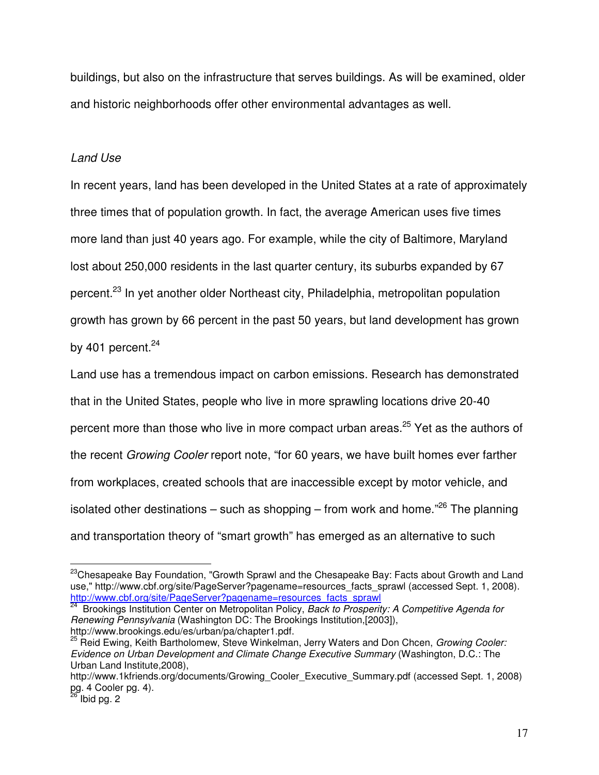buildings, but also on the infrastructure that serves buildings. As will be examined, older and historic neighborhoods offer other environmental advantages as well.

## *Land Use*

In recent years, land has been developed in the United States at a rate of approximately three times that of population growth. In fact, the average American uses five times more land than just 40 years ago. For example, while the city of Baltimore, Maryland lost about 250,000 residents in the last quarter century, its suburbs expanded by 67 percent.<sup>23</sup> In yet another older Northeast city, Philadelphia, metropolitan population growth has grown by 66 percent in the past 50 years, but land development has grown by 401 percent.<sup>24</sup>

Land use has a tremendous impact on carbon emissions. Research has demonstrated that in the United States, people who live in more sprawling locations drive 20-40 percent more than those who live in more compact urban areas.<sup>25</sup> Yet as the authors of the recent *Growing Cooler* report note, "for 60 years, we have built homes ever farther from workplaces, created schools that are inaccessible except by motor vehicle, and isolated other destinations – such as shopping – from work and home."<sup>26</sup> The planning and transportation theory of "smart growth" has emerged as an alternative to such

*Renewing Pennsylvania* (Washington DC: The Brookings Institution,[2003]), http://www.brookings.edu/es/urban/pa/chapter1.pdf.

<sup>&</sup>lt;sup>23</sup>Chesapeake Bay Foundation, "Growth Sprawl and the Chesapeake Bay: Facts about Growth and Land use," http://www.cbf.org/site/PageServer?pagename=resources\_facts\_sprawl (accessed Sept. 1, 2008). http://www.cbf.org/site/PageServer?pagename=resources\_facts\_sprawl 24 Brookings Institution Center on Metropolitan Policy, *Back to Prosperity: A Competitive Agenda for*

<sup>25</sup> Reid Ewing, Keith Bartholomew, Steve Winkelman, Jerry Waters and Don Chcen, *Growing Cooler: Evidence on Urban Development and Climate Change Executive Summary* (Washington, D.C.: The Urban Land Institute,2008),

http://www.1kfriends.org/documents/Growing\_Cooler\_Executive\_Summary.pdf (accessed Sept. 1, 2008) pg. 4 Cooler pg. 4).<br><sup>26</sup> Ibid pg. 2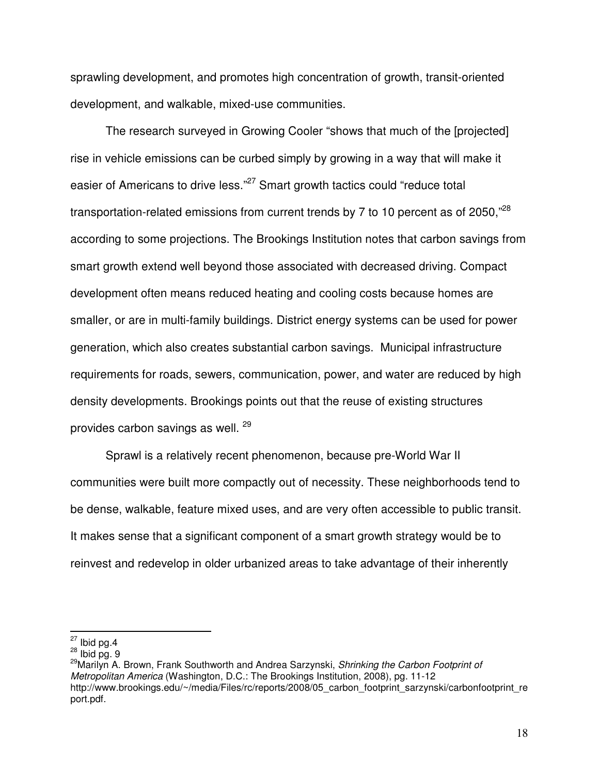sprawling development, and promotes high concentration of growth, transit-oriented development, and walkable, mixed-use communities.

The research surveyed in Growing Cooler "shows that much of the [projected] rise in vehicle emissions can be curbed simply by growing in a way that will make it easier of Americans to drive less."<sup>27</sup> Smart growth tactics could "reduce total transportation-related emissions from current trends by 7 to 10 percent as of 2050,"<sup>28</sup> according to some projections. The Brookings Institution notes that carbon savings from smart growth extend well beyond those associated with decreased driving. Compact development often means reduced heating and cooling costs because homes are smaller, or are in multi-family buildings. District energy systems can be used for power generation, which also creates substantial carbon savings. Municipal infrastructure requirements for roads, sewers, communication, power, and water are reduced by high density developments. Brookings points out that the reuse of existing structures provides carbon savings as well. <sup>29</sup>

Sprawl is a relatively recent phenomenon, because pre-World War II communities were built more compactly out of necessity. These neighborhoods tend to be dense, walkable, feature mixed uses, and are very often accessible to public transit. It makes sense that a significant component of a smart growth strategy would be to reinvest and redevelop in older urbanized areas to take advantage of their inherently

 $27$  Ibid pg.4

 $28$  Ibid pg. 9

<sup>29</sup>Marilyn A. Brown, Frank Southworth and Andrea Sarzynski, *Shrinking the Carbon Footprint of Metropolitan America* (Washington, D.C.: The Brookings Institution, 2008), pg. 11-12 http://www.brookings.edu/~/media/Files/rc/reports/2008/05 carbon footprint sarzynski/carbonfootprint re port.pdf.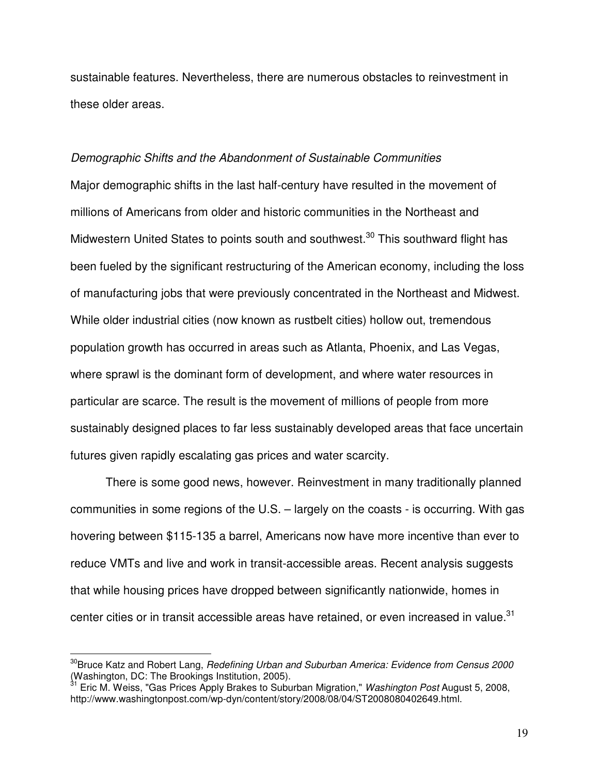sustainable features. Nevertheless, there are numerous obstacles to reinvestment in these older areas.

#### *Demographic Shifts and the Abandonment of Sustainable Communities*

Major demographic shifts in the last half-century have resulted in the movement of millions of Americans from older and historic communities in the Northeast and Midwestern United States to points south and southwest.<sup>30</sup> This southward flight has been fueled by the significant restructuring of the American economy, including the loss of manufacturing jobs that were previously concentrated in the Northeast and Midwest. While older industrial cities (now known as rustbelt cities) hollow out, tremendous population growth has occurred in areas such as Atlanta, Phoenix, and Las Vegas, where sprawl is the dominant form of development, and where water resources in particular are scarce. The result is the movement of millions of people from more sustainably designed places to far less sustainably developed areas that face uncertain futures given rapidly escalating gas prices and water scarcity.

There is some good news, however. Reinvestment in many traditionally planned communities in some regions of the U.S. – largely on the coasts - is occurring. With gas hovering between \$115-135 a barrel, Americans now have more incentive than ever to reduce VMTs and live and work in transit-accessible areas. Recent analysis suggests that while housing prices have dropped between significantly nationwide, homes in center cities or in transit accessible areas have retained, or even increased in value.<sup>31</sup>

<sup>30</sup> Bruce Katz and Robert Lang, *Redefining Urban and Suburban America: Evidence from Census 2000* (Washington, DC: The Brookings Institution, 2005). 31 Eric M. Weiss, "Gas Prices Apply Brakes to Suburban Migration," *Washington Post* August 5, 2008,

http://www.washingtonpost.com/wp-dyn/content/story/2008/08/04/ST2008080402649.html.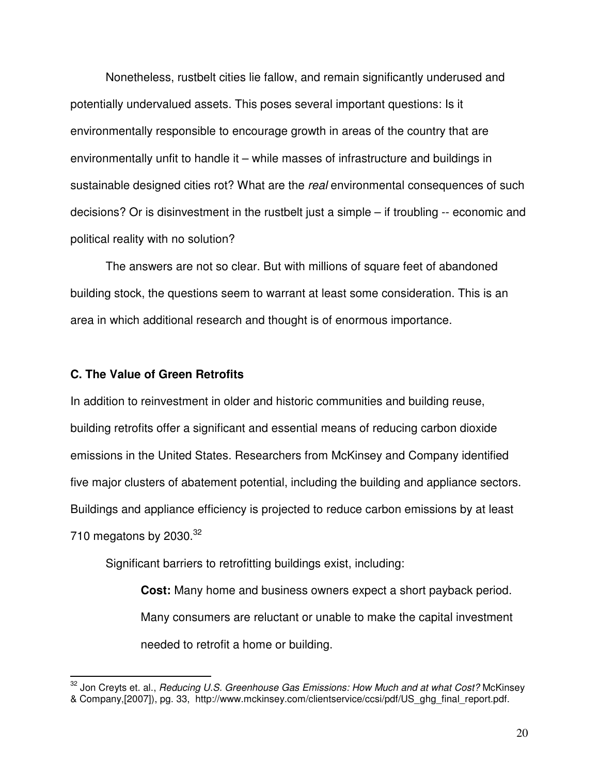Nonetheless, rustbelt cities lie fallow, and remain significantly underused and potentially undervalued assets. This poses several important questions: Is it environmentally responsible to encourage growth in areas of the country that are environmentally unfit to handle it – while masses of infrastructure and buildings in sustainable designed cities rot? What are the *real* environmental consequences of such decisions? Or is disinvestment in the rustbelt just a simple – if troubling -- economic and political reality with no solution?

The answers are not so clear. But with millions of square feet of abandoned building stock, the questions seem to warrant at least some consideration. This is an area in which additional research and thought is of enormous importance.

#### **C. The Value of Green Retrofits**

In addition to reinvestment in older and historic communities and building reuse, building retrofits offer a significant and essential means of reducing carbon dioxide emissions in the United States. Researchers from McKinsey and Company identified five major clusters of abatement potential, including the building and appliance sectors. Buildings and appliance efficiency is projected to reduce carbon emissions by at least 710 megatons by 2030. $32$ 

Significant barriers to retrofitting buildings exist, including:

**Cost:** Many home and business owners expect a short payback period. Many consumers are reluctant or unable to make the capital investment needed to retrofit a home or building.

<sup>32</sup> Jon Creyts et. al., *Reducing U.S. Greenhouse Gas Emissions: How Much and at what Cost?* McKinsey & Company,[2007]), pg. 33, http://www.mckinsey.com/clientservice/ccsi/pdf/US\_ghg\_final\_report.pdf.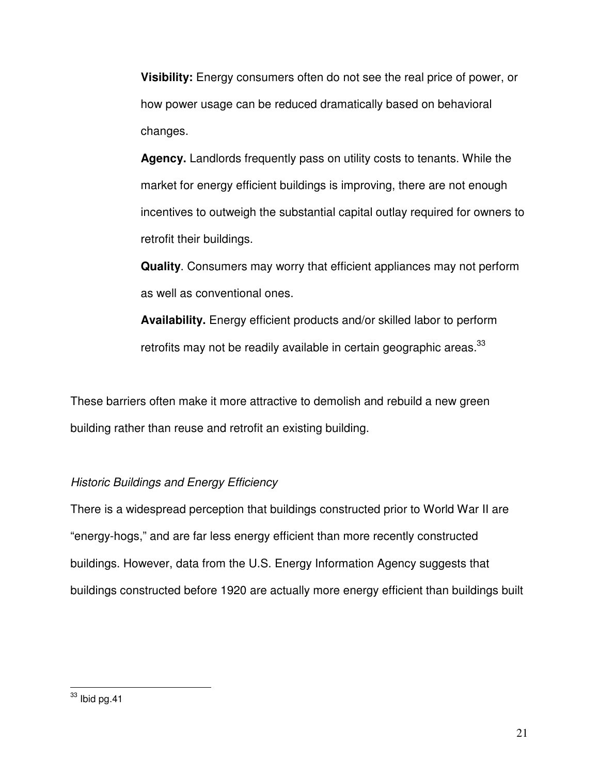**Visibility:** Energy consumers often do not see the real price of power, or how power usage can be reduced dramatically based on behavioral changes.

**Agency.** Landlords frequently pass on utility costs to tenants. While the market for energy efficient buildings is improving, there are not enough incentives to outweigh the substantial capital outlay required for owners to retrofit their buildings.

**Quality**. Consumers may worry that efficient appliances may not perform as well as conventional ones.

**Availability.** Energy efficient products and/or skilled labor to perform retrofits may not be readily available in certain geographic areas.<sup>33</sup>

These barriers often make it more attractive to demolish and rebuild a new green building rather than reuse and retrofit an existing building.

## *Historic Buildings and Energy Efficiency*

There is a widespread perception that buildings constructed prior to World War II are "energy-hogs," and are far less energy efficient than more recently constructed buildings. However, data from the U.S. Energy Information Agency suggests that buildings constructed before 1920 are actually more energy efficient than buildings built

 $33$  lbid pg.41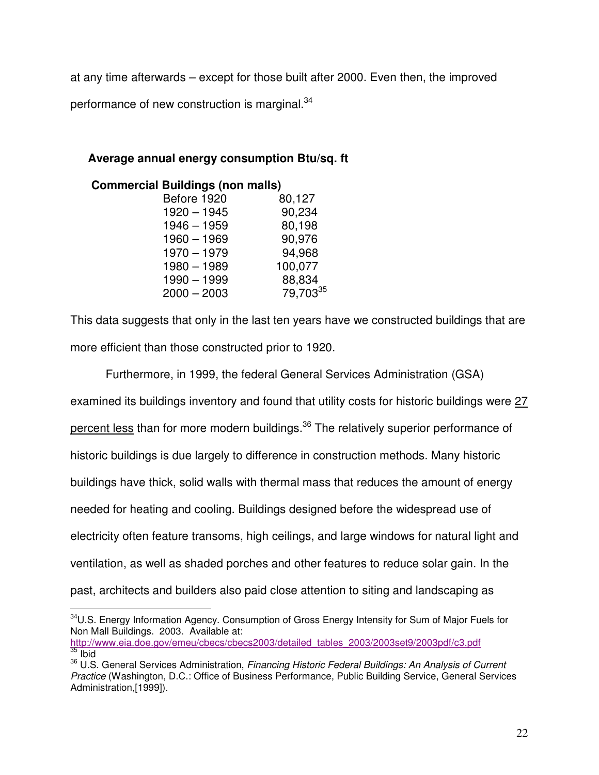at any time afterwards – except for those built after 2000. Even then, the improved performance of new construction is marginal.<sup>34</sup>

## **Average annual energy consumption Btu/sq. ft**

| <b>Commercial Buildings (non malls)</b> |          |
|-----------------------------------------|----------|
| Before 1920                             | 80,127   |
| $1920 - 1945$                           | 90,234   |
| $1946 - 1959$                           | 80,198   |
| $1960 - 1969$                           | 90,976   |
| $1970 - 1979$                           | 94,968   |
| $1980 - 1989$                           | 100,077  |
| $1990 - 1999$                           | 88,834   |
| $2000 - 2003$                           | 79,70335 |

This data suggests that only in the last ten years have we constructed buildings that are more efficient than those constructed prior to 1920.

Furthermore, in 1999, the federal General Services Administration (GSA) examined its buildings inventory and found that utility costs for historic buildings were 27 percent less than for more modern buildings.<sup>36</sup> The relatively superior performance of historic buildings is due largely to difference in construction methods. Many historic buildings have thick, solid walls with thermal mass that reduces the amount of energy needed for heating and cooling. Buildings designed before the widespread use of electricity often feature transoms, high ceilings, and large windows for natural light and ventilation, as well as shaded porches and other features to reduce solar gain. In the past, architects and builders also paid close attention to siting and landscaping as

<sup>34</sup>U.S. Energy Information Agency. Consumption of Gross Energy Intensity for Sum of Major Fuels for Non Mall Buildings. 2003. Available at:

http://www.eia.doe.gov/emeu/cbecs/cbecs2003/detailed\_tables\_2003/2003set9/2003pdf/c3.pdf  $\frac{35}{1}$  ibid

<sup>36</sup> U.S. General Services Administration, *Financing Historic Federal Buildings: An Analysis of Current Practice* (Washington, D.C.: Office of Business Performance, Public Building Service, General Services Administration,[1999]).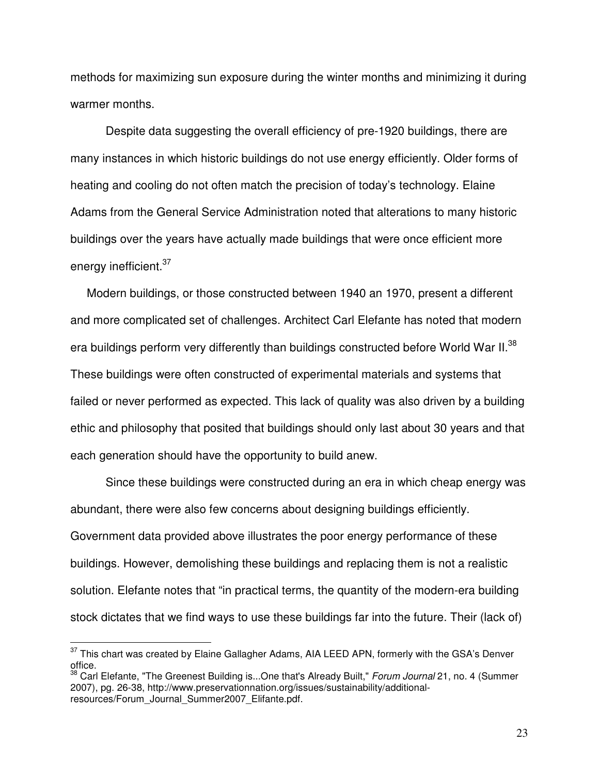methods for maximizing sun exposure during the winter months and minimizing it during warmer months.

Despite data suggesting the overall efficiency of pre-1920 buildings, there are many instances in which historic buildings do not use energy efficiently. Older forms of heating and cooling do not often match the precision of today's technology. Elaine Adams from the General Service Administration noted that alterations to many historic buildings over the years have actually made buildings that were once efficient more energy inefficient.<sup>37</sup>

Modern buildings, or those constructed between 1940 an 1970, present a different and more complicated set of challenges. Architect Carl Elefante has noted that modern era buildings perform very differently than buildings constructed before World War II.<sup>38</sup> These buildings were often constructed of experimental materials and systems that failed or never performed as expected. This lack of quality was also driven by a building ethic and philosophy that posited that buildings should only last about 30 years and that each generation should have the opportunity to build anew.

Since these buildings were constructed during an era in which cheap energy was abundant, there were also few concerns about designing buildings efficiently. Government data provided above illustrates the poor energy performance of these buildings. However, demolishing these buildings and replacing them is not a realistic solution. Elefante notes that "in practical terms, the quantity of the modern-era building stock dictates that we find ways to use these buildings far into the future. Their (lack of)

 $37$  This chart was created by Elaine Gallagher Adams, AIA LEED APN, formerly with the GSA's Denver office.

<sup>38</sup> Carl Elefante, "The Greenest Building is...One that's Already Built," *Forum Journal* 21, no. 4 (Summer 2007), pg. 26-38, http://www.preservationnation.org/issues/sustainability/additionalresources/Forum\_Journal\_Summer2007\_Elifante.pdf.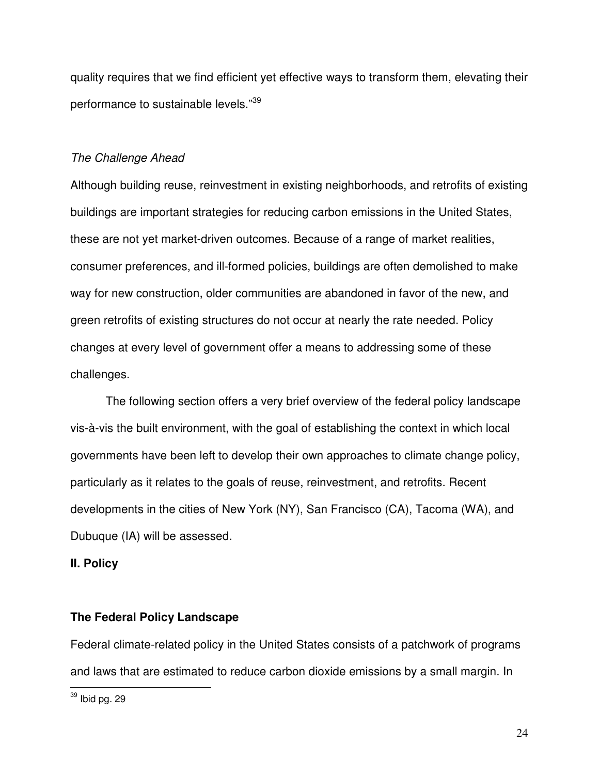quality requires that we find efficient yet effective ways to transform them, elevating their performance to sustainable levels."<sup>39</sup>

#### *The Challenge Ahead*

Although building reuse, reinvestment in existing neighborhoods, and retrofits of existing buildings are important strategies for reducing carbon emissions in the United States, these are not yet market-driven outcomes. Because of a range of market realities, consumer preferences, and ill-formed policies, buildings are often demolished to make way for new construction, older communities are abandoned in favor of the new, and green retrofits of existing structures do not occur at nearly the rate needed. Policy changes at every level of government offer a means to addressing some of these challenges.

The following section offers a very brief overview of the federal policy landscape vis-à-vis the built environment, with the goal of establishing the context in which local governments have been left to develop their own approaches to climate change policy, particularly as it relates to the goals of reuse, reinvestment, and retrofits. Recent developments in the cities of New York (NY), San Francisco (CA), Tacoma (WA), and Dubuque (IA) will be assessed.

#### **II. Policy**

#### **The Federal Policy Landscape**

Federal climate-related policy in the United States consists of a patchwork of programs and laws that are estimated to reduce carbon dioxide emissions by a small margin. In

 $^{39}$  Ibid pg. 29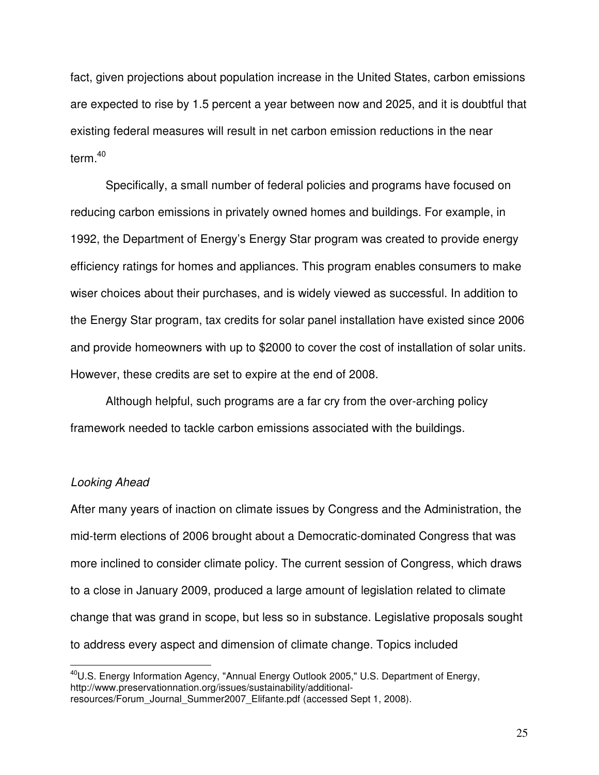fact, given projections about population increase in the United States, carbon emissions are expected to rise by 1.5 percent a year between now and 2025, and it is doubtful that existing federal measures will result in net carbon emission reductions in the near term. 40

Specifically, a small number of federal policies and programs have focused on reducing carbon emissions in privately owned homes and buildings. For example, in 1992, the Department of Energy's Energy Star program was created to provide energy efficiency ratings for homes and appliances. This program enables consumers to make wiser choices about their purchases, and is widely viewed as successful. In addition to the Energy Star program, tax credits for solar panel installation have existed since 2006 and provide homeowners with up to \$2000 to cover the cost of installation of solar units. However, these credits are set to expire at the end of 2008.

Although helpful, such programs are a far cry from the over-arching policy framework needed to tackle carbon emissions associated with the buildings.

#### *Looking Ahead*

After many years of inaction on climate issues by Congress and the Administration, the mid-term elections of 2006 brought about a Democratic-dominated Congress that was more inclined to consider climate policy. The current session of Congress, which draws to a close in January 2009, produced a large amount of legislation related to climate change that was grand in scope, but less so in substance. Legislative proposals sought to address every aspect and dimension of climate change. Topics included

<sup>40</sup>U.S. Energy Information Agency, "Annual Energy Outlook 2005," U.S. Department of Energy, http://www.preservationnation.org/issues/sustainability/additionalresources/Forum\_Journal\_Summer2007\_Elifante.pdf (accessed Sept 1, 2008).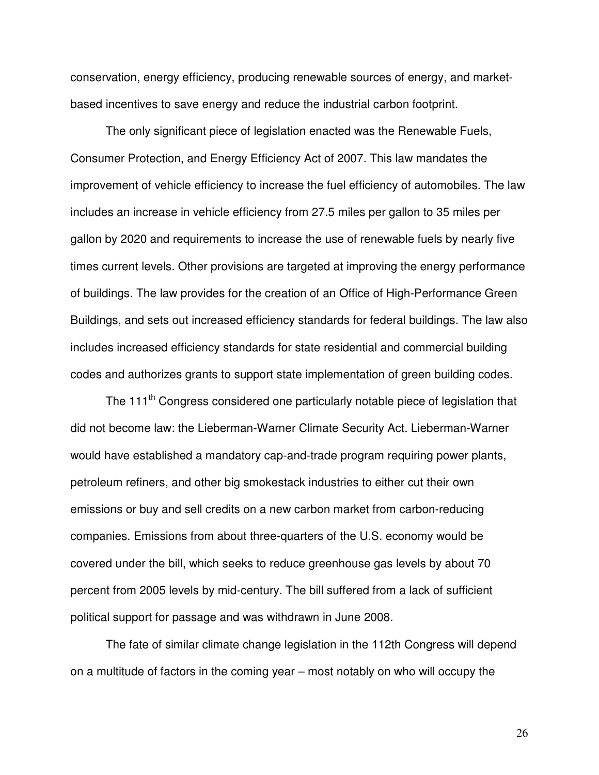conservation, energy efficiency, producing renewable sources of energy, and marketbased incentives to save energy and reduce the industrial carbon footprint.

The only significant piece of legislation enacted was the Renewable Fuels, Consumer Protection, and Energy Efficiency Act of 2007. This law mandates the improvement of vehicle efficiency to increase the fuel efficiency of automobiles. The law includes an increase in vehicle efficiency from 27.5 miles per gallon to 35 miles per gallon by 2020 and requirements to increase the use of renewable fuels by nearly five times current levels. Other provisions are targeted at improving the energy performance of buildings. The law provides for the creation of an Office of High-Performance Green Buildings, and sets out increased efficiency standards for federal buildings. The law also includes increased efficiency standards for state residential and commercial building codes and authorizes grants to support state implementation of green building codes.

The 111<sup>th</sup> Congress considered one particularly notable piece of legislation that did not become law: the Lieberman-Warner Climate Security Act. Lieberman-Warner would have established a mandatory cap-and-trade program requiring power plants, petroleum refiners, and other big smokestack industries to either cut their own emissions or buy and sell credits on a new carbon market from carbon-reducing companies. Emissions from about three-quarters of the U.S. economy would be covered under the bill, which seeks to reduce greenhouse gas levels by about 70 percent from 2005 levels by mid-century. The bill suffered from a lack of sufficient political support for passage and was withdrawn in June 2008.

The fate of similar climate change legislation in the 112th Congress will depend on a multitude of factors in the coming year – most notably on who will occupy the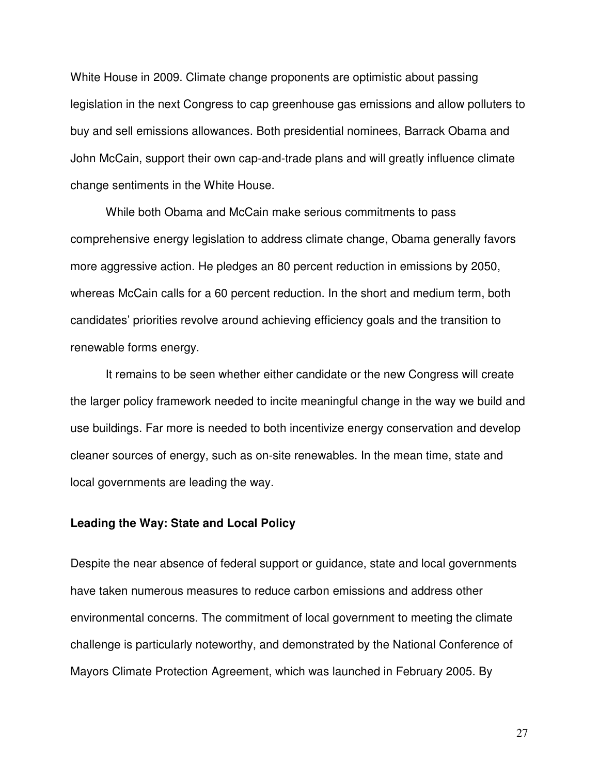White House in 2009. Climate change proponents are optimistic about passing legislation in the next Congress to cap greenhouse gas emissions and allow polluters to buy and sell emissions allowances. Both presidential nominees, Barrack Obama and John McCain, support their own cap-and-trade plans and will greatly influence climate change sentiments in the White House.

While both Obama and McCain make serious commitments to pass comprehensive energy legislation to address climate change, Obama generally favors more aggressive action. He pledges an 80 percent reduction in emissions by 2050, whereas McCain calls for a 60 percent reduction. In the short and medium term, both candidates' priorities revolve around achieving efficiency goals and the transition to renewable forms energy.

It remains to be seen whether either candidate or the new Congress will create the larger policy framework needed to incite meaningful change in the way we build and use buildings. Far more is needed to both incentivize energy conservation and develop cleaner sources of energy, such as on-site renewables. In the mean time, state and local governments are leading the way.

#### **Leading the Way: State and Local Policy**

Despite the near absence of federal support or guidance, state and local governments have taken numerous measures to reduce carbon emissions and address other environmental concerns. The commitment of local government to meeting the climate challenge is particularly noteworthy, and demonstrated by the National Conference of Mayors Climate Protection Agreement, which was launched in February 2005. By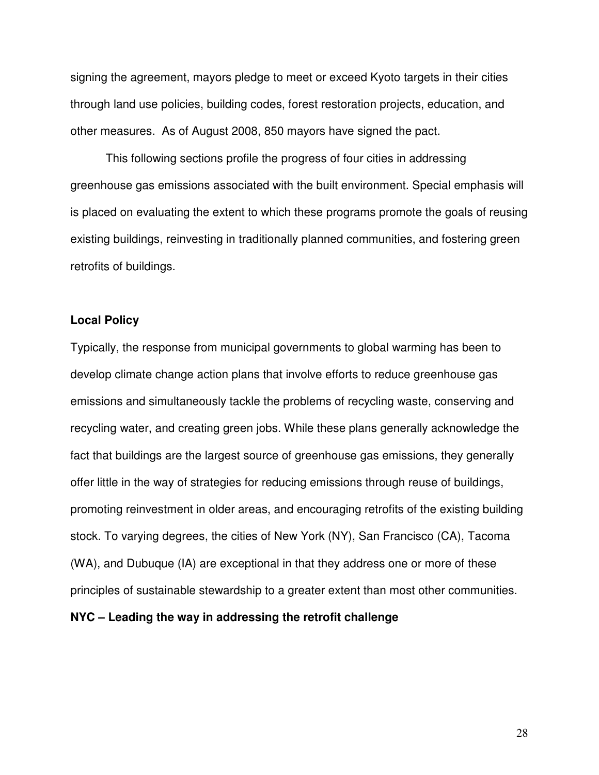signing the agreement, mayors pledge to meet or exceed Kyoto targets in their cities through land use policies, building codes, forest restoration projects, education, and other measures. As of August 2008, 850 mayors have signed the pact.

This following sections profile the progress of four cities in addressing greenhouse gas emissions associated with the built environment. Special emphasis will is placed on evaluating the extent to which these programs promote the goals of reusing existing buildings, reinvesting in traditionally planned communities, and fostering green retrofits of buildings.

#### **Local Policy**

Typically, the response from municipal governments to global warming has been to develop climate change action plans that involve efforts to reduce greenhouse gas emissions and simultaneously tackle the problems of recycling waste, conserving and recycling water, and creating green jobs. While these plans generally acknowledge the fact that buildings are the largest source of greenhouse gas emissions, they generally offer little in the way of strategies for reducing emissions through reuse of buildings, promoting reinvestment in older areas, and encouraging retrofits of the existing building stock. To varying degrees, the cities of New York (NY), San Francisco (CA), Tacoma (WA), and Dubuque (IA) are exceptional in that they address one or more of these principles of sustainable stewardship to a greater extent than most other communities.

#### **NYC – Leading the way in addressing the retrofit challenge**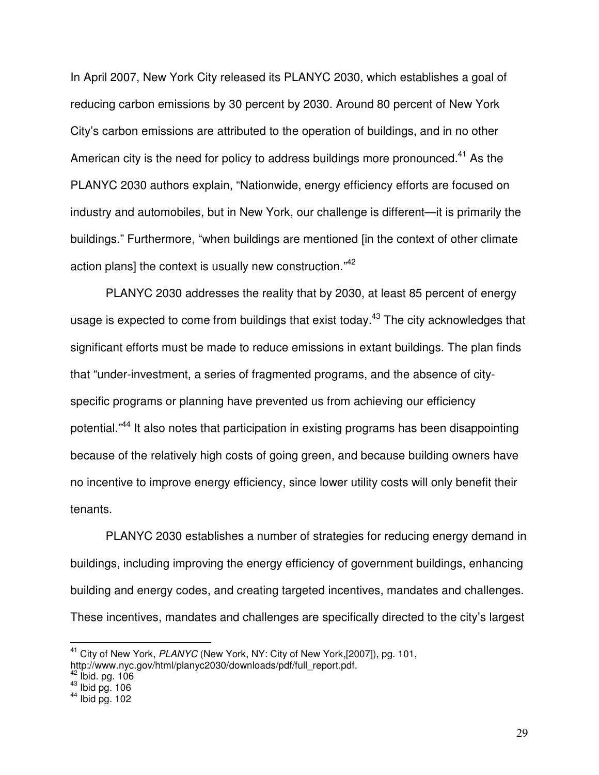In April 2007, New York City released its PLANYC 2030, which establishes a goal of reducing carbon emissions by 30 percent by 2030. Around 80 percent of New York City's carbon emissions are attributed to the operation of buildings, and in no other American city is the need for policy to address buildings more pronounced.<sup>41</sup> As the PLANYC 2030 authors explain, "Nationwide, energy efficiency efforts are focused on industry and automobiles, but in New York, our challenge is different—it is primarily the buildings." Furthermore, "when buildings are mentioned [in the context of other climate action plans] the context is usually new construction."<sup>42</sup>

PLANYC 2030 addresses the reality that by 2030, at least 85 percent of energy usage is expected to come from buildings that exist today.<sup>43</sup> The city acknowledges that significant efforts must be made to reduce emissions in extant buildings. The plan finds that "under-investment, a series of fragmented programs, and the absence of cityspecific programs or planning have prevented us from achieving our efficiency potential."<sup>44</sup> It also notes that participation in existing programs has been disappointing because of the relatively high costs of going green, and because building owners have no incentive to improve energy efficiency, since lower utility costs will only benefit their tenants.

PLANYC 2030 establishes a number of strategies for reducing energy demand in buildings, including improving the energy efficiency of government buildings, enhancing building and energy codes, and creating targeted incentives, mandates and challenges. These incentives, mandates and challenges are specifically directed to the city's largest

<sup>41</sup> City of New York, *PLANYC* (New York, NY: City of New York,[2007]), pg. 101, http://www.nyc.gov/html/planyc2030/downloads/pdf/full\_report.pdf.

<sup>&</sup>lt;sup>42</sup> Ibid. pg. 106<br><sup>43</sup> Ibid pg. 106<br><sup>44</sup> Ibid pg. 102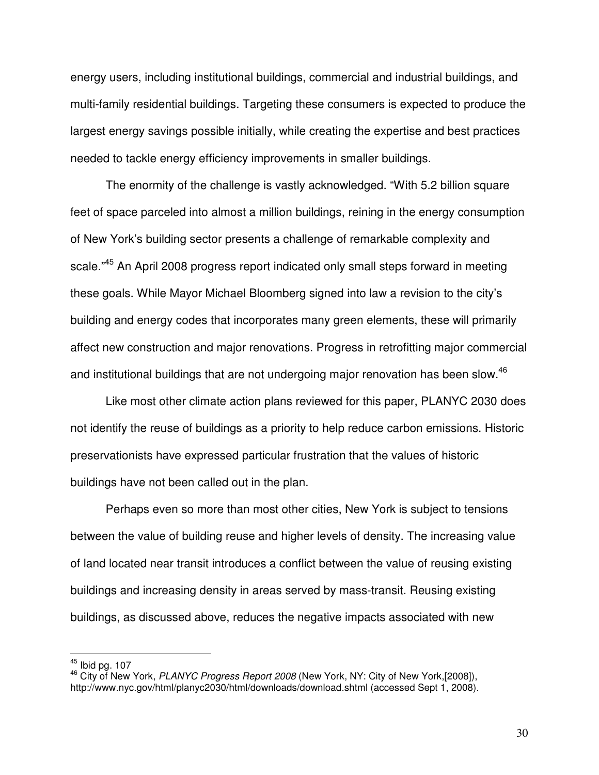energy users, including institutional buildings, commercial and industrial buildings, and multi-family residential buildings. Targeting these consumers is expected to produce the largest energy savings possible initially, while creating the expertise and best practices needed to tackle energy efficiency improvements in smaller buildings.

The enormity of the challenge is vastly acknowledged. "With 5.2 billion square feet of space parceled into almost a million buildings, reining in the energy consumption of New York's building sector presents a challenge of remarkable complexity and scale."<sup>45</sup> An April 2008 progress report indicated only small steps forward in meeting these goals. While Mayor Michael Bloomberg signed into law a revision to the city's building and energy codes that incorporates many green elements, these will primarily affect new construction and major renovations. Progress in retrofitting major commercial and institutional buildings that are not undergoing major renovation has been slow.<sup>46</sup>

Like most other climate action plans reviewed for this paper, PLANYC 2030 does not identify the reuse of buildings as a priority to help reduce carbon emissions. Historic preservationists have expressed particular frustration that the values of historic buildings have not been called out in the plan.

Perhaps even so more than most other cities, New York is subject to tensions between the value of building reuse and higher levels of density. The increasing value of land located near transit introduces a conflict between the value of reusing existing buildings and increasing density in areas served by mass-transit. Reusing existing buildings, as discussed above, reduces the negative impacts associated with new

 $^{45}$  Ibid pg. 107

<sup>46</sup> City of New York, *PLANYC Progress Report 2008* (New York, NY: City of New York,[2008]), http://www.nyc.gov/html/planyc2030/html/downloads/download.shtml (accessed Sept 1, 2008).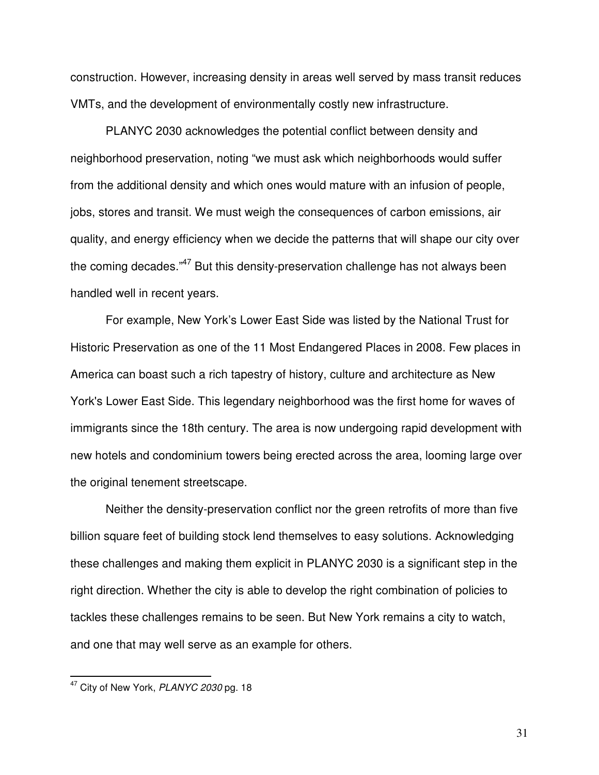construction. However, increasing density in areas well served by mass transit reduces VMTs, and the development of environmentally costly new infrastructure.

PLANYC 2030 acknowledges the potential conflict between density and neighborhood preservation, noting "we must ask which neighborhoods would suffer from the additional density and which ones would mature with an infusion of people, jobs, stores and transit. We must weigh the consequences of carbon emissions, air quality, and energy efficiency when we decide the patterns that will shape our city over the coming decades."<sup>47</sup> But this density-preservation challenge has not always been handled well in recent years.

For example, New York's Lower East Side was listed by the National Trust for Historic Preservation as one of the 11 Most Endangered Places in 2008. Few places in America can boast such a rich tapestry of history, culture and architecture as New York's Lower East Side. This legendary neighborhood was the first home for waves of immigrants since the 18th century. The area is now undergoing rapid development with new hotels and condominium towers being erected across the area, looming large over the original tenement streetscape.

Neither the density-preservation conflict nor the green retrofits of more than five billion square feet of building stock lend themselves to easy solutions. Acknowledging these challenges and making them explicit in PLANYC 2030 is a significant step in the right direction. Whether the city is able to develop the right combination of policies to tackles these challenges remains to be seen. But New York remains a city to watch, and one that may well serve as an example for others.

<sup>47</sup> City of New York, *PLANYC 2030* pg. 18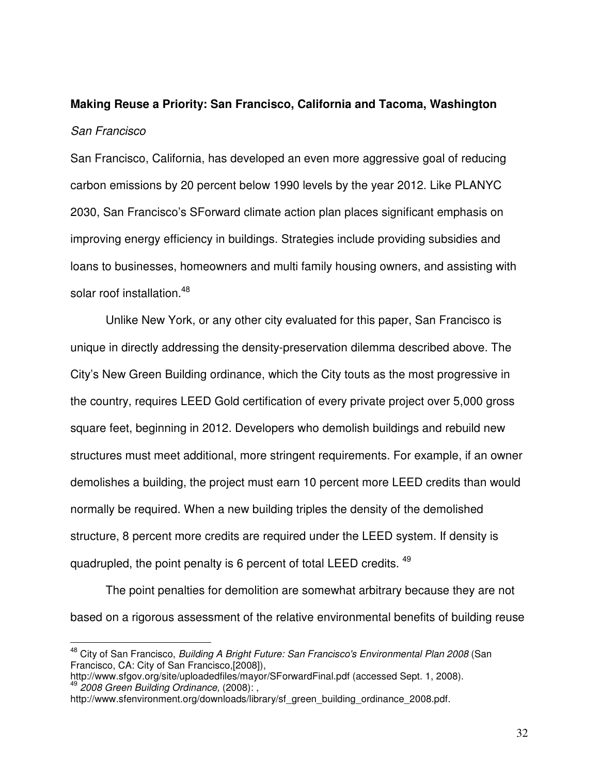# **Making Reuse a Priority: San Francisco, California and Tacoma, Washington** *San Francisco*

San Francisco, California, has developed an even more aggressive goal of reducing carbon emissions by 20 percent below 1990 levels by the year 2012. Like PLANYC 2030, San Francisco's SForward climate action plan places significant emphasis on improving energy efficiency in buildings. Strategies include providing subsidies and loans to businesses, homeowners and multi family housing owners, and assisting with solar roof installation.<sup>48</sup>

Unlike New York, or any other city evaluated for this paper, San Francisco is unique in directly addressing the density-preservation dilemma described above. The City's New Green Building ordinance, which the City touts as the most progressive in the country, requires LEED Gold certification of every private project over 5,000 gross square feet, beginning in 2012. Developers who demolish buildings and rebuild new structures must meet additional, more stringent requirements. For example, if an owner demolishes a building, the project must earn 10 percent more LEED credits than would normally be required. When a new building triples the density of the demolished structure, 8 percent more credits are required under the LEED system. If density is quadrupled, the point penalty is 6 percent of total LEED credits. <sup>49</sup>

The point penalties for demolition are somewhat arbitrary because they are not based on a rigorous assessment of the relative environmental benefits of building reuse

<sup>48</sup> City of San Francisco, *Building A Bright Future: San Francisco's Environmental Plan 2008* (San Francisco, CA: City of San Francisco,[2008]),

http://www.sfgov.org/site/uploadedfiles/mayor/SForwardFinal.pdf (accessed Sept. 1, 2008). 49 *2008 Green Building Ordinance,* (2008): ,

http://www.sfenvironment.org/downloads/library/sf\_green\_building\_ordinance\_2008.pdf.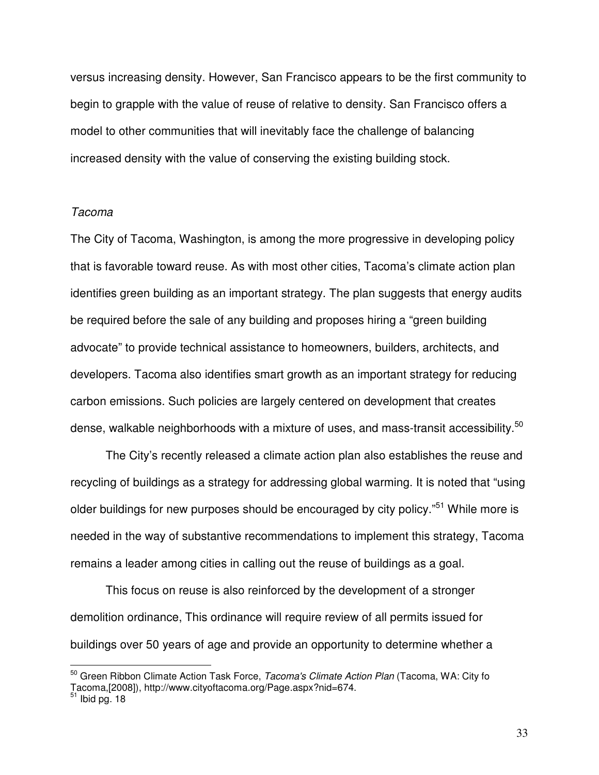versus increasing density. However, San Francisco appears to be the first community to begin to grapple with the value of reuse of relative to density. San Francisco offers a model to other communities that will inevitably face the challenge of balancing increased density with the value of conserving the existing building stock.

#### *Tacoma*

The City of Tacoma, Washington, is among the more progressive in developing policy that is favorable toward reuse. As with most other cities, Tacoma's climate action plan identifies green building as an important strategy. The plan suggests that energy audits be required before the sale of any building and proposes hiring a "green building advocate" to provide technical assistance to homeowners, builders, architects, and developers. Tacoma also identifies smart growth as an important strategy for reducing carbon emissions. Such policies are largely centered on development that creates dense, walkable neighborhoods with a mixture of uses, and mass-transit accessibility.<sup>50</sup>

The City's recently released a climate action plan also establishes the reuse and recycling of buildings as a strategy for addressing global warming. It is noted that "using older buildings for new purposes should be encouraged by city policy."<sup>51</sup> While more is needed in the way of substantive recommendations to implement this strategy, Tacoma remains a leader among cities in calling out the reuse of buildings as a goal.

This focus on reuse is also reinforced by the development of a stronger demolition ordinance, This ordinance will require review of all permits issued for buildings over 50 years of age and provide an opportunity to determine whether a

<sup>50</sup> Green Ribbon Climate Action Task Force, *Tacoma's Climate Action Plan* (Tacoma, WA: City fo Tacoma,[2008]), http://www.cityoftacoma.org/Page.aspx?nid=674.<br><sup>51</sup> Ibid pg. 18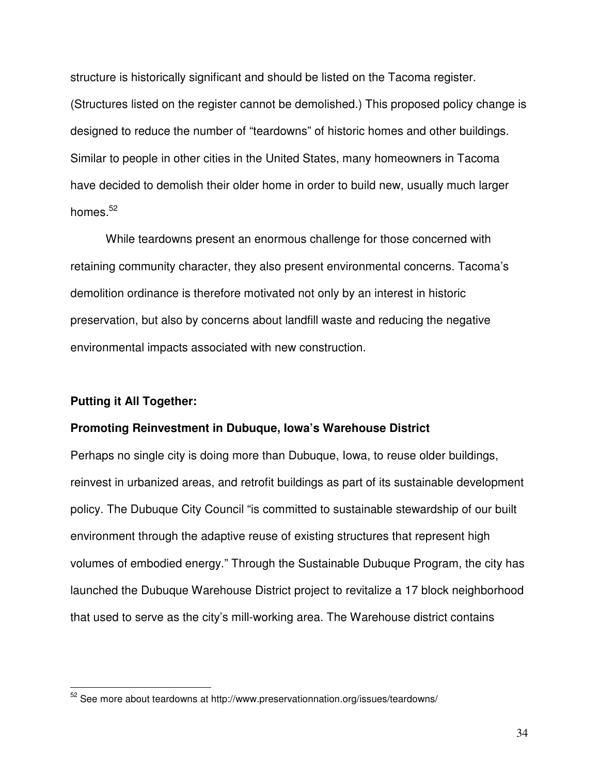structure is historically significant and should be listed on the Tacoma register. (Structures listed on the register cannot be demolished.) This proposed policy change is designed to reduce the number of "teardowns" of historic homes and other buildings. Similar to people in other cities in the United States, many homeowners in Tacoma have decided to demolish their older home in order to build new, usually much larger homes.<sup>52</sup>

While teardowns present an enormous challenge for those concerned with retaining community character, they also present environmental concerns. Tacoma's demolition ordinance is therefore motivated not only by an interest in historic preservation, but also by concerns about landfill waste and reducing the negative environmental impacts associated with new construction.

### **Putting it All Together:**

#### **Promoting Reinvestment in Dubuque, Iowa's Warehouse District**

Perhaps no single city is doing more than Dubuque, Iowa, to reuse older buildings, reinvest in urbanized areas, and retrofit buildings as part of its sustainable development policy. The Dubuque City Council "is committed to sustainable stewardship of our built environment through the adaptive reuse of existing structures that represent high volumes of embodied energy." Through the Sustainable Dubuque Program, the city has launched the Dubuque Warehouse District project to revitalize a 17 block neighborhood that used to serve as the city's mill-working area. The Warehouse district contains

 $52$  See more about teardowns at http://www.preservationnation.org/issues/teardowns/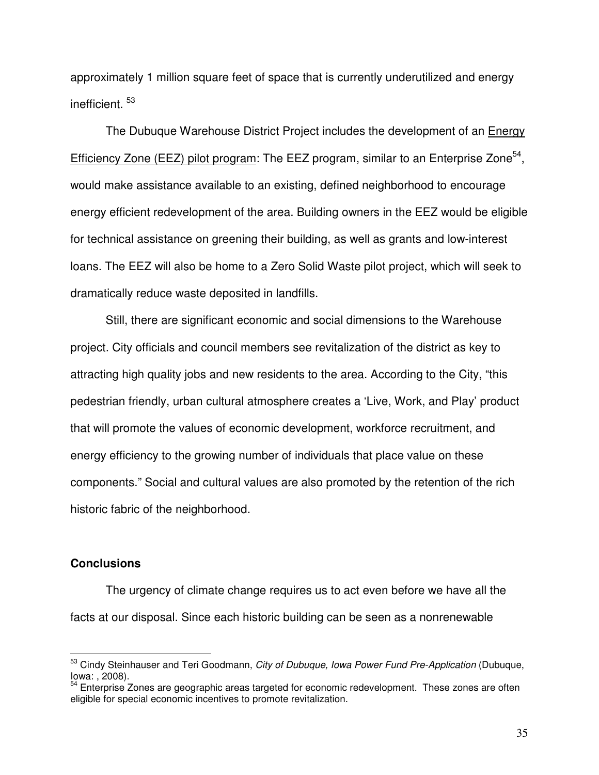approximately 1 million square feet of space that is currently underutilized and energy inefficient. 53

The Dubuque Warehouse District Project includes the development of an Energy Efficiency Zone (EEZ) pilot program: The EEZ program, similar to an Enterprise Zone<sup>54</sup>, would make assistance available to an existing, defined neighborhood to encourage energy efficient redevelopment of the area. Building owners in the EEZ would be eligible for technical assistance on greening their building, as well as grants and low-interest loans. The EEZ will also be home to a Zero Solid Waste pilot project, which will seek to dramatically reduce waste deposited in landfills.

Still, there are significant economic and social dimensions to the Warehouse project. City officials and council members see revitalization of the district as key to attracting high quality jobs and new residents to the area. According to the City, "this pedestrian friendly, urban cultural atmosphere creates a 'Live, Work, and Play' product that will promote the values of economic development, workforce recruitment, and energy efficiency to the growing number of individuals that place value on these components." Social and cultural values are also promoted by the retention of the rich historic fabric of the neighborhood.

#### **Conclusions**

The urgency of climate change requires us to act even before we have all the facts at our disposal. Since each historic building can be seen as a nonrenewable

<sup>53</sup> Cindy Steinhauser and Teri Goodmann, *City of Dubuque, Iowa Power Fund Pre-Application* (Dubuque, Iowa: , 2008).

<sup>&</sup>lt;sup>54</sup> Enterprise Zones are geographic areas targeted for economic redevelopment. These zones are often eligible for special economic incentives to promote revitalization.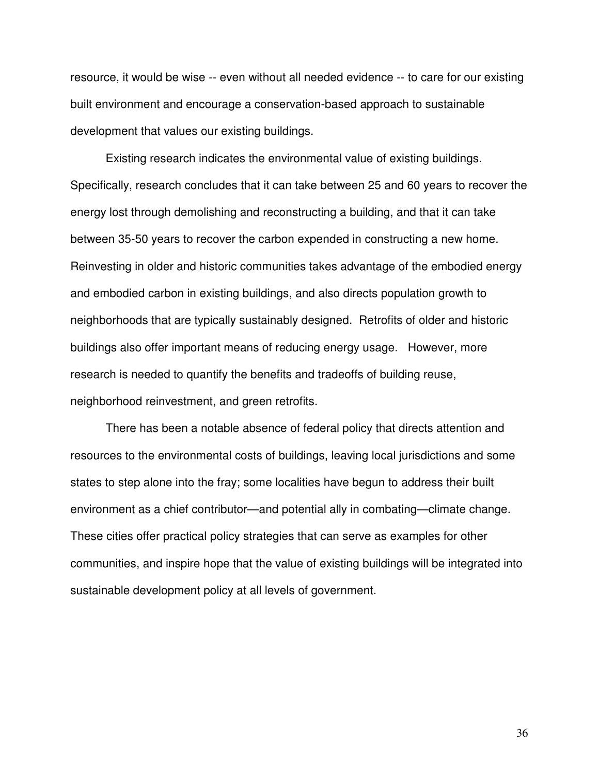resource, it would be wise -- even without all needed evidence -- to care for our existing built environment and encourage a conservation-based approach to sustainable development that values our existing buildings.

Existing research indicates the environmental value of existing buildings. Specifically, research concludes that it can take between 25 and 60 years to recover the energy lost through demolishing and reconstructing a building, and that it can take between 35-50 years to recover the carbon expended in constructing a new home. Reinvesting in older and historic communities takes advantage of the embodied energy and embodied carbon in existing buildings, and also directs population growth to neighborhoods that are typically sustainably designed. Retrofits of older and historic buildings also offer important means of reducing energy usage. However, more research is needed to quantify the benefits and tradeoffs of building reuse, neighborhood reinvestment, and green retrofits.

There has been a notable absence of federal policy that directs attention and resources to the environmental costs of buildings, leaving local jurisdictions and some states to step alone into the fray; some localities have begun to address their built environment as a chief contributor—and potential ally in combating—climate change. These cities offer practical policy strategies that can serve as examples for other communities, and inspire hope that the value of existing buildings will be integrated into sustainable development policy at all levels of government.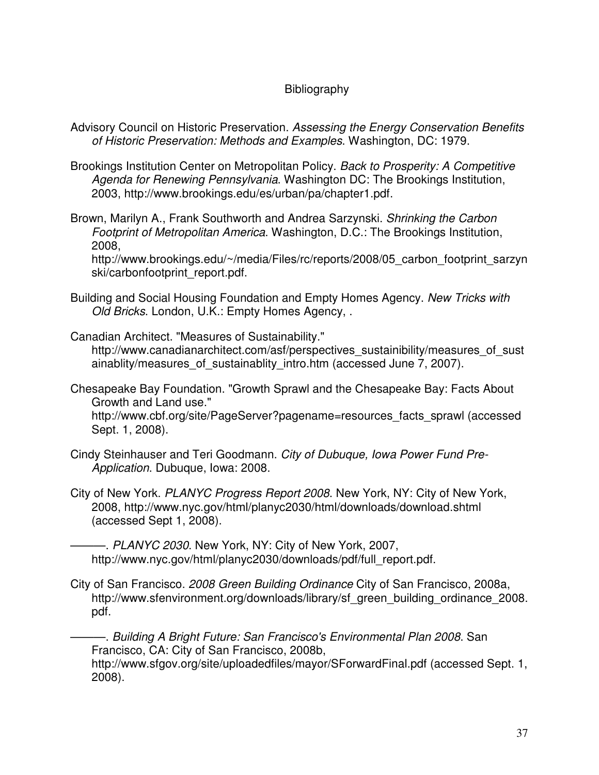## **Bibliography**

- Advisory Council on Historic Preservation. *Assessing the Energy Conservation Benefits of Historic Preservation: Methods and Examples*. Washington, DC: 1979.
- Brookings Institution Center on Metropolitan Policy. *Back to Prosperity: A Competitive Agenda for Renewing Pennsylvania*. Washington DC: The Brookings Institution, 2003, http://www.brookings.edu/es/urban/pa/chapter1.pdf.
- Brown, Marilyn A., Frank Southworth and Andrea Sarzynski. *Shrinking the Carbon Footprint of Metropolitan America*. Washington, D.C.: The Brookings Institution, 2008,

http://www.brookings.edu/~/media/Files/rc/reports/2008/05 carbon footprint sarzyn ski/carbonfootprint\_report.pdf.

Building and Social Housing Foundation and Empty Homes Agency. *New Tricks with Old Bricks*. London, U.K.: Empty Homes Agency, .

Canadian Architect. "Measures of Sustainability." http://www.canadianarchitect.com/asf/perspectives\_sustainibility/measures\_of\_sust ainablity/measures of sustainablity intro.htm (accessed June 7, 2007).

Chesapeake Bay Foundation. "Growth Sprawl and the Chesapeake Bay: Facts About Growth and Land use."

http://www.cbf.org/site/PageServer?pagename=resources\_facts\_sprawl (accessed Sept. 1, 2008).

- Cindy Steinhauser and Teri Goodmann. *City of Dubuque, Iowa Power Fund Pre-Application*. Dubuque, Iowa: 2008.
- City of New York. *PLANYC Progress Report 2008*. New York, NY: City of New York, 2008, http://www.nyc.gov/html/planyc2030/html/downloads/download.shtml (accessed Sept 1, 2008).

———. *PLANYC 2030*. New York, NY: City of New York, 2007, http://www.nyc.gov/html/planyc2030/downloads/pdf/full\_report.pdf.

City of San Francisco. *2008 Green Building Ordinance* City of San Francisco, 2008a, http://www.sfenvironment.org/downloads/library/sf\_green\_building\_ordinance\_2008. pdf.

———. *Building A Bright Future: San Francisco's Environmental Plan 2008*. San Francisco, CA: City of San Francisco, 2008b,

http://www.sfgov.org/site/uploadedfiles/mayor/SForwardFinal.pdf (accessed Sept. 1, 2008).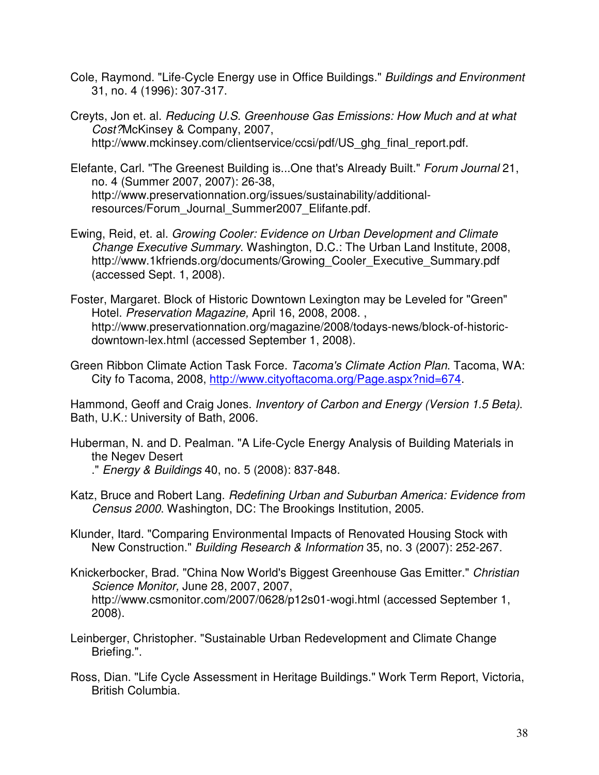- Cole, Raymond. "Life-Cycle Energy use in Office Buildings." *Buildings and Environment* 31, no. 4 (1996): 307-317.
- Creyts, Jon et. al. *Reducing U.S. Greenhouse Gas Emissions: How Much and at what Cost?*McKinsey & Company, 2007, http://www.mckinsey.com/clientservice/ccsi/pdf/US\_ghg\_final\_report.pdf.
- Elefante, Carl. "The Greenest Building is...One that's Already Built." *Forum Journal* 21, no. 4 (Summer 2007, 2007): 26-38, http://www.preservationnation.org/issues/sustainability/additionalresources/Forum\_Journal\_Summer2007\_Elifante.pdf.
- Ewing, Reid, et. al. *Growing Cooler: Evidence on Urban Development and Climate Change Executive Summary*. Washington, D.C.: The Urban Land Institute, 2008, http://www.1kfriends.org/documents/Growing\_Cooler\_Executive\_Summary.pdf (accessed Sept. 1, 2008).
- Foster, Margaret. Block of Historic Downtown Lexington may be Leveled for "Green" Hotel. *Preservation Magazine,* April 16, 2008, 2008. , http://www.preservationnation.org/magazine/2008/todays-news/block-of-historicdowntown-lex.html (accessed September 1, 2008).
- Green Ribbon Climate Action Task Force. *Tacoma's Climate Action Plan*. Tacoma, WA: City fo Tacoma, 2008, http://www.cityoftacoma.org/Page.aspx?nid=674.

Hammond, Geoff and Craig Jones. *Inventory of Carbon and Energy (Version 1.5 Beta)*. Bath, U.K.: University of Bath, 2006.

- Huberman, N. and D. Pealman. "A Life-Cycle Energy Analysis of Building Materials in the Negev Desert
	- ." *Energy & Buildings* 40, no. 5 (2008): 837-848.
- Katz, Bruce and Robert Lang. *Redefining Urban and Suburban America: Evidence from Census 2000*. Washington, DC: The Brookings Institution, 2005.
- Klunder, Itard. "Comparing Environmental Impacts of Renovated Housing Stock with New Construction." *Building Research & Information* 35, no. 3 (2007): 252-267.
- Knickerbocker, Brad. "China Now World's Biggest Greenhouse Gas Emitter." *Christian Science Monitor,* June 28, 2007, 2007, http://www.csmonitor.com/2007/0628/p12s01-wogi.html (accessed September 1, 2008).
- Leinberger, Christopher. "Sustainable Urban Redevelopment and Climate Change Briefing.".
- Ross, Dian. "Life Cycle Assessment in Heritage Buildings." Work Term Report, Victoria, British Columbia.